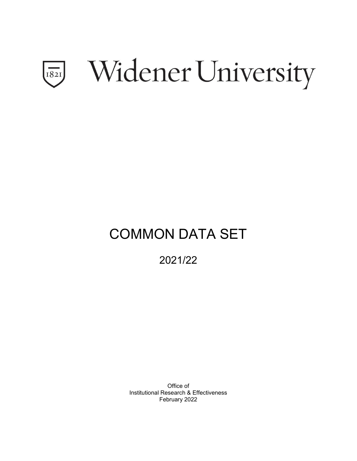

# COMMON DATA SET

2021/22

Office of Institutional Research & Effectiveness February 2022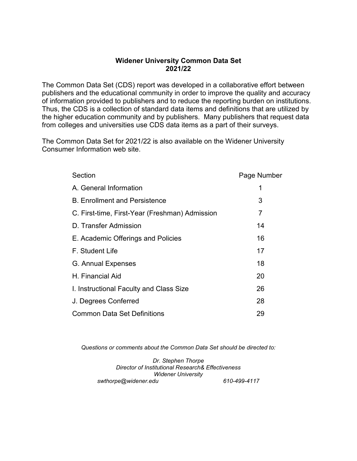# **Widener University Common Data Set 2021/22**

The Common Data Set (CDS) report was developed in a collaborative effort between publishers and the educational community in order to improve the quality and accuracy of information provided to publishers and to reduce the reporting burden on institutions. Thus, the CDS is a collection of standard data items and definitions that are utilized by the higher education community and by publishers. Many publishers that request data from colleges and universities use CDS data items as a part of their surveys.

The Common Data Set for 2021/22 is also available on the Widener University Consumer Information web site.

| Section                                        | Page Number |
|------------------------------------------------|-------------|
| A. General Information                         | 1           |
| <b>B. Enrollment and Persistence</b>           | 3           |
| C. First-time, First-Year (Freshman) Admission | 7           |
| D. Transfer Admission                          | 14          |
| E. Academic Offerings and Policies             | 16          |
| F. Student Life                                | 17          |
| G. Annual Expenses                             | 18          |
| H. Financial Aid                               | 20          |
| I. Instructional Faculty and Class Size        | 26          |
| J. Degrees Conferred                           | 28          |
| <b>Common Data Set Definitions</b>             | 29          |

*Questions or comments about the Common Data Set should be directed to:*

*Dr. Stephen Thorpe Director of Institutional Research& Effectiveness Widener University swthorpe@widener.edu 610-499-4117*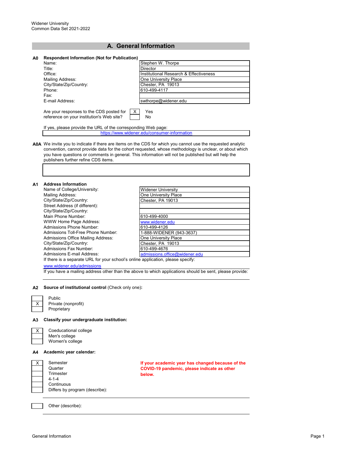## **A. General Information**

| A0 | <b>Respondent Information (Not for Publication)</b>                                        |                                        |
|----|--------------------------------------------------------------------------------------------|----------------------------------------|
|    | Name:                                                                                      | Stephen W. Thorpe                      |
|    | Title:                                                                                     | <b>Director</b>                        |
|    | Office:                                                                                    | Institutional Research & Effectiveness |
|    | Mailing Address:                                                                           | One University Place                   |
|    | City/State/Zip/Country:                                                                    | Chester, PA 19013                      |
|    | Phone:                                                                                     | 610-499-4117                           |
|    | Fax:                                                                                       |                                        |
|    | F-mail Address:                                                                            | swthorpe@widener.edu                   |
|    | Are your responses to the CDS posted for<br>x<br>reference on your institution's Web site? | Yes<br>No.                             |

If yes, please provide the URL of the corresponding Web page: https://www.widener.edu/consumer-information

**A0A** We invite you to indicate if there are items on the CDS for which you cannot use the requested analytic convention, cannot provide data for the cohort requested, whose methodology is unclear, or about which you have questions or comments in general. This information will not be published but will help the publishers further refine CDS items.

| А1 | <b>Address Information</b>                                                       |                               |
|----|----------------------------------------------------------------------------------|-------------------------------|
|    | Name of College/University:                                                      | <b>Widener University</b>     |
|    | Mailing Address:                                                                 | One University Place          |
|    | City/State/Zip/Country:                                                          | Chester, PA 19013             |
|    | Street Address (if different):                                                   |                               |
|    | City/State/Zip/Country:                                                          |                               |
|    | Main Phone Number:                                                               | 610-499-4000                  |
|    | WWW Home Page Address:                                                           | www.widener.edu               |
|    | Admissions Phone Number                                                          | 610-499-4126                  |
|    | Admissions Toll-Free Phone Number:                                               | 1-888-WIDENER (943-3637)      |
|    | Admissions Office Mailing Address:                                               | One University Place          |
|    | City/State/Zip/Country:                                                          | Chester, PA 19013             |
|    | Admissions Fax Number:                                                           | 610-499-4676                  |
|    | Admissions E-mail Address:                                                       | admissions.office@widener.edu |
|    | If there is a separate URL for your school's online application, please specify: |                               |

[www.widener.edu/admissions](http://www.widener.edu/admissions)

If you have a mailing address other than the above to which applications should be sent, please provide:

#### **A2 Source of institutional control** (Check only one)**:**

Private (nonprofit) **Proprietary** 

Public

**A3 Classify your undergraduate institution:**

Coeducational college Men's college Women's college

## **A4 Academic year calendar:**



**If your academic year has changed because of the COVID-19 pandemic, please indicate as other below.**

Other (describe):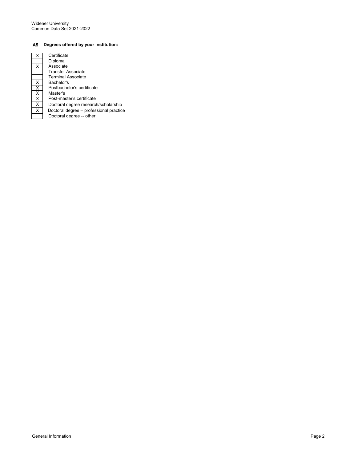## **A5 Degrees offered by your institution:**

|                         | Certificate       |
|-------------------------|-------------------|
|                         | Diploma           |
|                         | Associate         |
|                         | <b>Transfer A</b> |
|                         | Terminal A        |
| X                       | Bachelor's        |
| $\overline{\mathsf{x}}$ | Postbache         |
| X                       | Master's          |
| X                       | Post-mast         |
| X                       | Doctoral d        |
| X                       | Doctoral de       |
|                         | Doctoral d        |

| X                       | Certificate                             |
|-------------------------|-----------------------------------------|
|                         | Diploma                                 |
| $\overline{\mathsf{x}}$ | Associate                               |
|                         | <b>Transfer Associate</b>               |
|                         | <b>Terminal Associate</b>               |
| $\overline{\mathsf{x}}$ | Bachelor's                              |
| $\frac{X}{X}$           | Postbachelor's certificate              |
|                         | Master's                                |
|                         | Post-master's certificate               |
| $\overline{\mathsf{x}}$ | Doctoral degree research/scholarship    |
| $\overline{\mathsf{x}}$ | Doctoral degree - professional practice |
|                         | Doctoral degree -- other                |
|                         |                                         |

General Information **Page 2** Page 2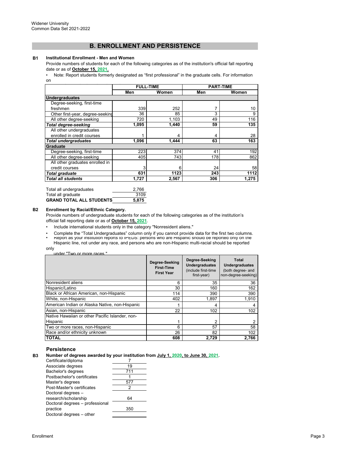## **B. ENROLLMENT AND PERSISTENCE**

#### **B1 Institutional Enrollment - Men and Women**

Provide numbers of students for each of the following categories as of the institution's official fall reporting date or as of **October 15, 2021.**<br>• Note: Report students forme

[• Note: Report students formerl](https://nces.ed.gov/ipeds/pdf/Reporting_Study_Abroad%20Students_5.31.17.pdf)y designated as "first professional" in the graduate cells. For information [on](https://nces.ed.gov/ipeds/pdf/Reporting_Study_Abroad%20Students_5.31.17.pdf) 

|                                  | <b>FULL-TIME</b> |       | <b>PART-TIME</b> |       |
|----------------------------------|------------------|-------|------------------|-------|
|                                  | Men              | Women | Men              | Women |
| <b>Undergraduates</b>            |                  |       |                  |       |
| Degree-seeking, first-time       |                  |       |                  |       |
| freshmen                         | 339              | 252   |                  | 10    |
| Other first-year, degree-seeking | 36               | 85    | 3                | 9     |
| All other degree-seeking         | 720              | 1,103 | 49               | 116   |
| <b>Total degree-seeking</b>      | 1,095            | 1,440 | 59               | 135   |
| All other undergraduates         |                  |       |                  |       |
| enrolled in credit courses       |                  | 4     | 4                | 28    |
| <b>Total undergraduates</b>      | 1,096            | 1.444 | 63               | 163   |
| Graduate                         |                  |       |                  |       |
| Degree-seeking, first-time       | 223              | 374   | 41               | 192   |
| All other degree-seeking         | 405              | 743   | 178              | 862   |
| All other graduates enrolled in  |                  |       |                  |       |
| credit courses                   | 3                | 6     | 24               | 58    |
| Total graduate                   | 631              | 1123  | 243              | 1112  |
| Total all students               | 1.727            | 2,567 | 306              | 1.275 |

| Total all undergraduates        | 2.766 |
|---------------------------------|-------|
| Total all graduate              | 3109  |
| <b>GRAND TOTAL ALL STUDENTS</b> | 5.875 |

#### **B2 Enrollment by Racial/Ethnic Category.**

more ra

Provide numbers of undergraduate students for each of the following categories as of the institution's official fall reporting date or as of **October 15, 2021**.

- Include international students only in the category "Nonresident aliens."
- Report as your institution reports to IPEDS: persons who are Hispanic should be reported only on the Hispanic line, not under any race, and persons who are non-Hispanic multi-racial should be reported • Complete the "Total Undergraduates" column only if you cannot provide data for the first two columns.

only

|                                                 | Degree-Seeking<br><b>First-Time</b><br><b>First Year</b> | Degree-Seeking<br><b>Undergraduates</b><br>(include first-time<br>first-year) | Total<br><b>Undergraduates</b><br>(both degree- and<br>non-degree-seeking) |
|-------------------------------------------------|----------------------------------------------------------|-------------------------------------------------------------------------------|----------------------------------------------------------------------------|
| Nonresident aliens                              | 6                                                        | 35                                                                            | 36                                                                         |
| Hispanic/Latino                                 | 30                                                       | 160                                                                           | 162                                                                        |
| Black or African American, non-Hispanic         | 114                                                      | 390                                                                           | 390                                                                        |
| White, non-Hispanic                             | 402                                                      | 1.897                                                                         | 1,910                                                                      |
| American Indian or Alaska Native, non-Hispanic  |                                                          | 4                                                                             |                                                                            |
| Asian, non-Hispanic                             | 22                                                       | 102                                                                           | 102                                                                        |
| Native Hawaiian or other Pacific Islander, non- |                                                          |                                                                               |                                                                            |
| Hispanic                                        | 1                                                        | 2                                                                             | 2                                                                          |
| Two or more races, non-Hispanic                 | 6                                                        | 57                                                                            | 58                                                                         |
| Race and/or ethnicity unknown                   | 26                                                       | 82                                                                            | 102                                                                        |
| <b>TOTAL</b>                                    | 608                                                      | 2,729                                                                         | 2.766                                                                      |

## **Persistence**

**B3 Number of degrees awarded by your institution from July 1, 2020, to June 30, 2021.**

| Certificate/diploma             |     |
|---------------------------------|-----|
| Associate degrees               | 19  |
| Bachelor's degrees              | 711 |
| Postbachelor's certificates     |     |
| Master's degrees                | 577 |
| Post-Master's certificates      | 2   |
| Doctoral degrees -              |     |
| research/scholarship            | 64  |
| Doctoral degrees - professional |     |
| practice                        | 350 |
| Doctoral degrees - other        |     |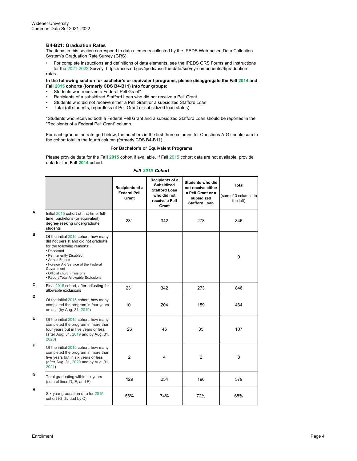## **B4-B21: Graduation Rates**

The items in this section correspond to data elements collected by the IPEDS Web-based Data Collection System's Graduation Rate Survey (GRS).

• For complete instructions and definitions of data elements, see the IPEDS GRS Forms and Instructions for the 2021-2022 Survey. https://nces.ed.gov/ipeds/use-the-data/survey-components/9/graduationrates

#### **In the following section for bachelor's or equivalent programs, please disaggregate the Fall 2014 and Fall 2015 cohorts (formerly CDS B4-B11) into four groups:**

- Students who received a Federal Pell Grant\*
- Recipients of a subsidized Stafford Loan who did not receive a Pell Grant<br>• Students who did not receive either a Pell Grant or a subsidized Stafford L
- Students who did not receive either a Pell Grant or a subsidized Stafford Loan<br>• Total (all students regardless of Pell Grant or subsidized loan status)
- Total (all students, regardless of Pell Grant or subsidized loan status)

\*Students who received both a Federal Pell Grant and a subsidized Stafford Loan should be reported in the "Recipients of a Federal Pell Grant" column.

For each graduation rate grid below, the numbers in the first three columns for Questions A-G should sum to the cohort total in the fourth column (formerly CDS B4-B11).

#### **For Bachelor's or Equivalent Programs**

Please provide data for the **Fall 2015** cohort if available. If Fall 2015 cohort data are not available, provide data for the **Fall 2014** cohort.

#### *Fall 2015 Cohort*

|   |                                                                                                                                                                                                                                                                                                 | Recipients of a<br><b>Federal Pell</b><br>Grant | Recipients of a<br><b>Subsidized</b><br><b>Stafford Loan</b><br>who did not<br>receive a Pell<br>Grant | <b>Students who did</b><br>not receive either<br>a Pell Grant or a<br>subsidized<br><b>Stafford Loan</b> | Total<br>(sum of 3 columns to<br>the left) |
|---|-------------------------------------------------------------------------------------------------------------------------------------------------------------------------------------------------------------------------------------------------------------------------------------------------|-------------------------------------------------|--------------------------------------------------------------------------------------------------------|----------------------------------------------------------------------------------------------------------|--------------------------------------------|
| Α | Initial 2015 cohort of first-time, full-<br>time, bachelor's (or equivalent)<br>degree-seeking undergraduate<br>students                                                                                                                                                                        | 231                                             | 342                                                                                                    | 273                                                                                                      | 846                                        |
| в | Of the initial 2015 cohort, how many<br>did not persist and did not graduate<br>for the following reasons:<br>· Deceased<br>• Permanently Disabled<br>• Armed Forces<br>• Foreign Aid Service of the Federal<br>Government<br>· Official church missions<br>· Report Total Allowable Exclusions |                                                 |                                                                                                        |                                                                                                          | $\mathbf 0$                                |
| С | Final 2015 cohort, after adjusting for<br>allowable exclusions                                                                                                                                                                                                                                  | 231                                             | 342                                                                                                    | 273                                                                                                      | 846                                        |
| D | Of the initial 2015 cohort, how many<br>completed the program in four years<br>or less (by Aug. 31, 2019)                                                                                                                                                                                       | 101                                             | 204                                                                                                    | 159                                                                                                      | 464                                        |
| Е | Of the initial 2015 cohort, how many<br>completed the program in more than<br>four years but in five years or less<br>(after Aug. 31, 2019 and by Aug. 31,<br>2020)                                                                                                                             | 26                                              | 46                                                                                                     | 35                                                                                                       | 107                                        |
| F | Of the initial 2015 cohort, how many<br>completed the program in more than<br>five years but in six years or less<br>(after Aug. 31, 2020 and by Aug. 31,<br>2021)                                                                                                                              | $\overline{2}$                                  | 4                                                                                                      | $\overline{2}$                                                                                           | 8                                          |
| G | Total graduating within six years<br>(sum of lines D, E, and F)                                                                                                                                                                                                                                 | 129                                             | 254                                                                                                    | 196                                                                                                      | 579                                        |
| н | Six-year graduation rate for 2015<br>cohort (G divided by C)                                                                                                                                                                                                                                    | 56%                                             | 74%                                                                                                    | 72%                                                                                                      | 68%                                        |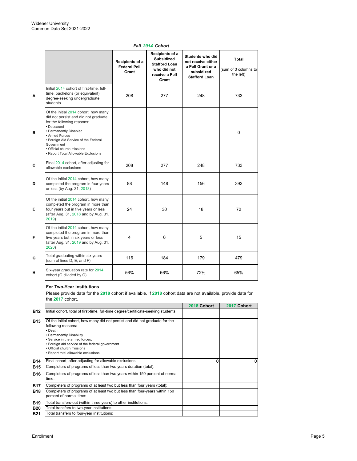|   |                                                                                                                                                                                                                                                                                                  |                                                 | וטווטט דושו ווא                                                                                        |                                                                                                   |                                                   |
|---|--------------------------------------------------------------------------------------------------------------------------------------------------------------------------------------------------------------------------------------------------------------------------------------------------|-------------------------------------------------|--------------------------------------------------------------------------------------------------------|---------------------------------------------------------------------------------------------------|---------------------------------------------------|
|   |                                                                                                                                                                                                                                                                                                  | Recipients of a<br><b>Federal Pell</b><br>Grant | Recipients of a<br><b>Subsidized</b><br><b>Stafford Loan</b><br>who did not<br>receive a Pell<br>Grant | Students who did<br>not receive either<br>a Pell Grant or a<br>subsidized<br><b>Stafford Loan</b> | <b>Total</b><br>(sum of 3 columns to<br>the left) |
| Α | Initial 2014 cohort of first-time, full-<br>time, bachelor's (or equivalent)<br>degree-seeking undergraduate<br>students                                                                                                                                                                         | 208                                             | 277                                                                                                    | 248                                                                                               | 733                                               |
| в | Of the initial 2014 cohort, how many<br>did not persist and did not graduate<br>for the following reasons:<br>Deceased<br>Permanently Disabled<br><b>Armed Forces</b><br>• Foreign Aid Service of the Federal<br>Government<br>· Official church missions<br>· Report Total Allowable Exclusions |                                                 |                                                                                                        |                                                                                                   | $\mathbf 0$                                       |
| C | Final 2014 cohort, after adjusting for<br>allowable exclusions                                                                                                                                                                                                                                   | 208                                             | 277                                                                                                    | 248                                                                                               | 733                                               |
| D | Of the initial 2014 cohort, how many<br>completed the program in four years<br>or less (by Aug. 31, 2018)                                                                                                                                                                                        | 88                                              | 148                                                                                                    | 156                                                                                               | 392                                               |
| Е | Of the initial 2014 cohort, how many<br>completed the program in more than<br>four years but in five years or less<br>(after Aug. 31, 2018 and by Aug. 31,<br>2019)                                                                                                                              | 24                                              | 30                                                                                                     | 18                                                                                                | 72                                                |
| F | Of the initial 2014 cohort, how many<br>completed the program in more than<br>five years but in six years or less<br>(after Aug. 31, 2019 and by Aug. 31,<br>2020)                                                                                                                               | 4                                               | 6                                                                                                      | 5                                                                                                 | 15                                                |
| G | Total graduating within six years<br>(sum of lines D, E, and F)                                                                                                                                                                                                                                  | 116                                             | 184                                                                                                    | 179                                                                                               | 479                                               |
| н | Six-year graduation rate for 2014<br>cohort (G divided by C)                                                                                                                                                                                                                                     | 56%                                             | 66%                                                                                                    | 72%                                                                                               | 65%                                               |

## *Fall 2014 Cohort*

## **For Two-Year Institutions**

Please provide data for the **2018** cohort if available. If **2018** cohort data are not available, provide data for the **2017** cohort.

|            |                                                                                                                                                        | 2018 Cohort | 2017 Cohort |
|------------|--------------------------------------------------------------------------------------------------------------------------------------------------------|-------------|-------------|
| <b>B12</b> | Initial cohort, total of first-time, full-time degree/certificate-seeking students:                                                                    |             |             |
| <b>B13</b> | Of the initial cohort, how many did not persist and did not graduate for the<br>following reasons:<br>• Death<br>• Permanently Disability              |             |             |
|            | • Service in the armed forces.<br>• Foreign aid service of the federal government<br>• Official church missions<br>• Report total allowable exclusions |             |             |
| <b>B14</b> | Final cohort, after adjusting for allowable exclusions:                                                                                                |             | 0           |
| <b>B15</b> | Completers of programs of less than two years duration (total):                                                                                        |             |             |
| <b>B16</b> | Completers of programs of less than two years within 150 percent of normal<br>time:                                                                    |             |             |
| <b>B17</b> | Completers of programs of at least two but less than four years (total):                                                                               |             |             |
| <b>B18</b> | Completers of programs of at least two but less than four-years within 150<br>percent of normal time:                                                  |             |             |
| <b>B19</b> | Total transfers-out (within three years) to other institutions:                                                                                        |             |             |
| <b>B20</b> | Total transfers to two-year institutions:                                                                                                              |             |             |
| <b>B21</b> | Total transfers to four-year institutions:                                                                                                             |             |             |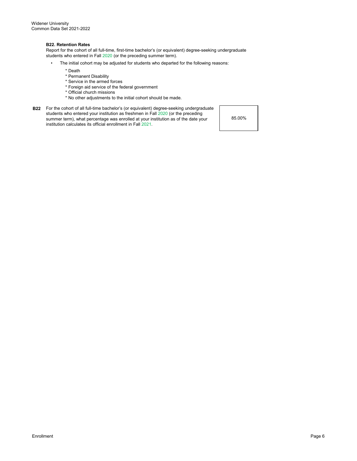#### **B22. Retention Rates**

Report for the cohort of all full-time, first-time bachelor's (or equivalent) degree-seeking undergraduate students who entered in Fall 2020 (or the preceding summer term).

- The initial cohort may be adjusted for students who departed for the following reasons:
	- \* Death
	- \* Permanent Disability
	- \* Service in the armed forces
	- \* Foreign aid service of the federal government
	- \* Official church missions
	- \* No other adjustments to the initial cohort should be made.
- **B22** For the cohort of all full-time bachelor's (or equivalent) degree-seeking undergraduate students who entered your institution as freshmen in Fall 2020 (or the preceding summer term), what percentage was enrolled at your institution as of the date your institution calculates its official enrollment in Fall 2021.

85.00%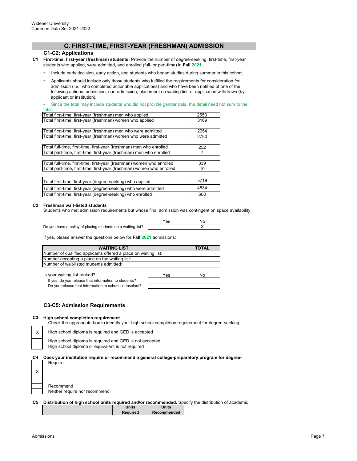## **C. FIRST-TIME, FIRST-YEAR (FRESHMAN) ADMISSION**

## **C1-C2: Applications**

- **C1 First-time, first-year (freshman) students:** Provide the number of degree-seeking, first-time, first-year students who applied, were admitted, and enrolled (full- or part-time) in **Fall 2021**.
	- Include early decision, early action, and students who began studies during summer in this cohort.
	- Applicants should include only those students who fulfilled the requirements for consideration for admission (i.e., who completed actionable applications) and who have been notified of one of the following actions: admission, non-admission, placement on waiting list, or application withdrawn (by applicant or institution).

Since the total may include students who did not provide gender data, the detail need not sum to the total.

| Total first-time, first-year (freshman) men who applied               | 2550 |
|-----------------------------------------------------------------------|------|
| Total first-time, first-year (freshman) women who applied             | 3169 |
|                                                                       |      |
| Total first-time, first-year (freshman) men who were admitted         | 2054 |
| Total first-time, first-year (freshman) women who were admitted       | 2780 |
|                                                                       |      |
| Total full-time, first-time, first-year (freshman) men who enrolled   | 252  |
| Total part-time, first-time, first-year (freshman) men who enrolled   |      |
|                                                                       |      |
| Total full-time, first-time, first-year (freshman) women who enrolled | 339  |
| Total part-time, first-time, first-year (freshman) women who enrolled | 10   |
|                                                                       |      |
| Total first-time, first-year (degree-seeking) who applied             | 5719 |
| Total first-time, first-year (degree-seeking) who were admitted       | 4834 |
| Total first-time, first-year (degree-seeking) who enrolled            | 608  |

#### **C2 Freshman wait-listed students**

Students who met admission requirements but whose final admission was contingent on space availability

Do you have a policy of placing students on a waiting list?

Yes No X

If yes, please answer the questions below for **Fall 2021** admissions:

| <b>WAITING LIST</b>                                             | <b>TOTAL</b> |
|-----------------------------------------------------------------|--------------|
| Number of qualified applicants offered a place on waiting list: |              |
| Number accepting a place on the waiting list:                   |              |
| Number of wait-listed students admitted:                        |              |

Is your waiting list ranked? If your waiting list ranked?

| If yes, do you release that information to students?  |  |
|-------------------------------------------------------|--|
| Do you release that information to school counselors? |  |

#### **C3-C5: Admission Requirements**

#### **C3 High school completion requirement**

Check the appropriate box to identify your high school completion requirement for degree-seeking

High school diploma is required and GED is accepted

High school diploma or equivalent is not required High school diploma is required and GED is not accepted

**C4 Does your institution require or recommend a general college-preparatory program for degree-**

Require

X

Recommend Neither require nor recommend

|  | C5 Distribution of high school units required and/or recommended. Specify the distribution of academic |
|--|--------------------------------------------------------------------------------------------------------|
|  |                                                                                                        |

| <b>Units</b>    | Units       |
|-----------------|-------------|
| <b>Required</b> | Recommended |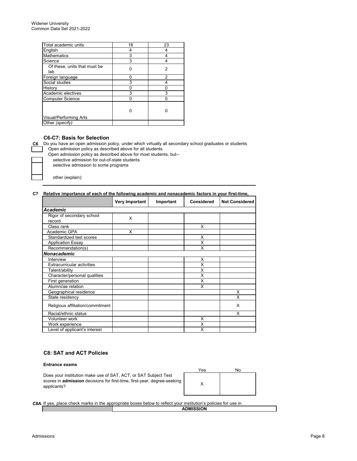| 18 | 23 |
|----|----|
| 4  | 4  |
| 3  | 4  |
| 3  | 4  |
| O  | 2  |
| U  | 2  |
| 3  |    |
| O  |    |
| 3  | 3  |
| 0  |    |
| 0  |    |
|    |    |
|    |    |
|    |    |

## **C6-C7: Basis for Selection**

**C6** Do you have an open admission policy, under which virtually all secondary school graduates or students Open admission policy as described above for all students

Open admission policy as described above for most students, but--

selective admission for out-of-state students

selective admission to some programs

other (explain):

## **C7 Relative importance of each of the following academic and nonacademic factors in your first-time,**

|                                   | Very Important | Important | <b>Considered</b> | <b>Not Considered</b> |
|-----------------------------------|----------------|-----------|-------------------|-----------------------|
| Academic                          |                |           |                   |                       |
| Rigor of secondary school         | X              |           |                   |                       |
| record                            |                |           |                   |                       |
| Class rank                        |                |           | X                 |                       |
| Academic GPA                      | X              |           |                   |                       |
| Standardized test scores          |                |           | х                 |                       |
| <b>Application Essay</b>          |                |           | X                 |                       |
| Recommendation(s)                 |                |           | X                 |                       |
| <b>Nonacademic</b>                |                |           |                   |                       |
| Interview                         |                |           | X                 |                       |
| <b>Extracurricular activities</b> |                |           | X                 |                       |
| Talent/ability                    |                |           | X                 |                       |
| Character/personal qualities      |                |           | X                 |                       |
| First generation                  |                |           | X                 |                       |
| Alumni/ae relation                |                |           | X                 |                       |
| Geographical residence            |                |           |                   | X                     |
| State residency                   |                |           |                   | X                     |
| Religious affiliation/commitment  |                |           |                   | X                     |
| Racial/ethnic status              |                |           |                   | X                     |
| Volunteer work                    |                |           | X                 |                       |
| Work experience                   |                |           | X                 |                       |
| Level of applicant's interest     |                |           | X                 |                       |

## **C8: SAT and ACT Policies**

#### **Entrance exams**

Does your institution make use of SAT, ACT, or SAT Subject Test scores in **admission** decisions for first-time, first-year, degree-seeking applicants?

| Yes | No |
|-----|----|
| Χ   |    |

**C8A** If yes, place check marks in the appropriate boxes below to reflect your institution's policies for use in

## **ADMISSION**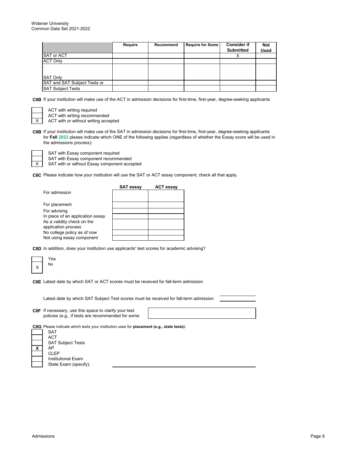|                              | Require | Recommend | <b>Require for Some</b> | <b>Consider if</b> | <b>Not</b> |
|------------------------------|---------|-----------|-------------------------|--------------------|------------|
|                              |         |           |                         | <b>Submitted</b>   | Used       |
| <b>SAT or ACT</b>            |         |           |                         | ⌒                  |            |
| <b>ACT Only</b>              |         |           |                         |                    |            |
|                              |         |           |                         |                    |            |
|                              |         |           |                         |                    |            |
| <b>SAT Only</b>              |         |           |                         |                    |            |
| SAT and SAT Subject Tests or |         |           |                         |                    |            |
| <b>SAT Subject Tests</b>     |         |           |                         |                    |            |

**C8B** If your institution will make use of the ACT in admission decisions for first-time, first-year, degree-seeking applicants

X

X

ACT with writing required ACT with writing recommended

ACT with or without writing accepted

**C8B** If your institution will make use of the SAT in admission decisions for first-time, first-year, degree-seeking applicants for **Fall 2023** please indicate which ONE of the following applies (regardless of whether the Essay score will be used in the admissions process):

SAT with Essay component required

SAT with Essay component recommended

SAT with or without Essay component accepted

**C8C** Please indicate how your institution will use the SAT or ACT essay component; check all that apply.

|                                                   | <b>SAT essay</b> | <b>ACT essay</b> |
|---------------------------------------------------|------------------|------------------|
| For admission                                     |                  |                  |
| For placement                                     |                  |                  |
| For advising                                      |                  |                  |
| In place of an application essay                  |                  |                  |
| As a validity check on the<br>application process |                  |                  |
| No college policy as of now                       |                  |                  |
| Not using essay component                         |                  |                  |

**C8D** In addition, does your institution use applicants' test scores for academic advising?

| es |
|----|
| No |

**C8E** Latest date by which SAT or ACT scores must be received for fall-term admission

Latest date by which SAT Subject Test scores must be received for fall-term admission

**C8F** If necessary, use this space to clarify your test policies (e.g., if tests are recommended for some

**C8G** Please indicate which tests your institution uses for **placement (e.g., state tests):**

|   | SAT                       |
|---|---------------------------|
|   | <b>ACT</b>                |
|   | <b>SAT Subject Tests</b>  |
| X | AP                        |
|   | <b>CLEP</b>               |
|   | <b>Institutional Exam</b> |
|   | State Exam (specify):     |
|   |                           |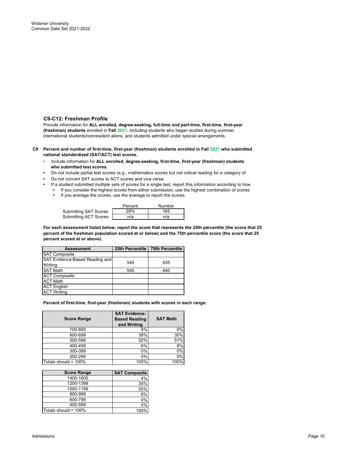## **C9-C12: Freshman Profile**

Provide information for **ALL enrolled, degree-seeking, full-time and part-time, first-time, first-year (freshman) students** enrolled in **Fall 2021**, including students who began studies during summer, international students/nonresident aliens, and students admitted under special arrangements.

#### **C9 Percent and number of first-time, first-year (freshman) students enrolled in Fall 2021 who submitted national standardized (SAT/ACT) test scores.**

- Include information for **ALL enrolled, degree-seeking, first-time, first-year (freshman) students who submitted test scores.**
- Do not include partial test scores (e.g., mathematics scores but not critical reading for a category of
- Do not convert SAT scores to ACT scores and vice versa.
- If a student submitted multiple sets of scores for a single test, report this information according to how **•** If you consider the highest scores from either submission, use the highest combination of scores
	- If you average the scores, use the average to report the scores.

|                              | Percent | Number |
|------------------------------|---------|--------|
| <b>Submitting SAT Scores</b> | 28%     | 165    |
| <b>Submitting ACT Scores</b> | n/a     | n/a    |

**For each assessment listed below, report the score that represents the 25th percentile (the score that 25 percent of the freshman population scored at or below) and the 75th percentile score (the score that 25 percent scored at or above).**

| <b>Assessment</b>              |     | 25th Percentile   75th Percentile |
|--------------------------------|-----|-----------------------------------|
| <b>SAT Composite</b>           |     |                                   |
| SAT Evidence-Based Reading and | 540 | 635                               |
| Writing                        |     |                                   |
| <b>SAT Math</b>                | 540 | 640                               |
| <b>ACT Composite</b>           |     |                                   |
| <b>ACT Math</b>                |     |                                   |
| <b>ACT English</b>             |     |                                   |
| <b>ACT Writing</b>             |     |                                   |

**Percent of first-time, first-year (freshman) students with scores in each range:**

| <b>Score Range</b>   | <b>SAT Evidence-</b><br><b>Based Reading</b><br>and Writing | <b>SAT Math</b>  |
|----------------------|-------------------------------------------------------------|------------------|
| 700-800              | 4%                                                          | 6%               |
| 600-699              | 38%                                                         | 35%              |
| 500-599              | 52%                                                         | 51%              |
| 400-499              | 6%                                                          | 8%               |
| 300-399              | 0%                                                          | 0%               |
| 200-299              | 0%                                                          | $\overline{0\%}$ |
| Totals should = 100% | 100%                                                        | 100%             |

| <b>Score Range</b>   | <b>SAT Composite</b> |
|----------------------|----------------------|
| 1400-1600            | 4%                   |
| 1200-1399            | 35%                  |
| 1000-1199            | 55%                  |
| 800-999              | 6%                   |
| 600-799              | 0%                   |
| 400-599              | 0%                   |
| Totals should = 100% | 100%                 |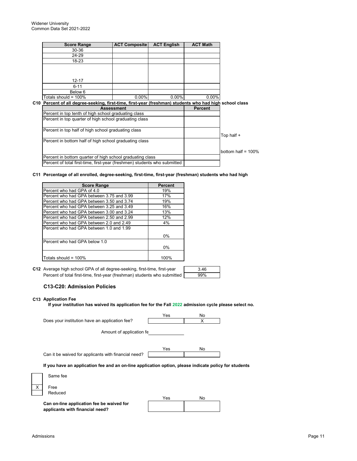| <b>Score Range</b>                                                                                                                     | <b>ACT Composite</b> | <b>ACT English</b> | <b>ACT Math</b> |                      |
|----------------------------------------------------------------------------------------------------------------------------------------|----------------------|--------------------|-----------------|----------------------|
| 30-36                                                                                                                                  |                      |                    |                 |                      |
| 24-29                                                                                                                                  |                      |                    |                 |                      |
| 18-23                                                                                                                                  |                      |                    |                 |                      |
|                                                                                                                                        |                      |                    |                 |                      |
|                                                                                                                                        |                      |                    |                 |                      |
| $12 - 17$                                                                                                                              |                      |                    |                 |                      |
| $6 - 11$                                                                                                                               |                      |                    |                 |                      |
| Below 6                                                                                                                                |                      |                    |                 |                      |
| Totals should = $100\%$                                                                                                                | $0.00\%$             | $0.00\%$           | $0.00\%$        |                      |
| C10 Percent of all degree-seeking, first-time, first-year (freshman) students who had high school class                                |                      |                    |                 |                      |
|                                                                                                                                        | <b>Assessment</b>    |                    | <b>Percent</b>  |                      |
|                                                                                                                                        |                      |                    |                 |                      |
| Percent in top tenth of high school graduating class                                                                                   |                      |                    |                 |                      |
| Percent in top quarter of high school graduating class                                                                                 |                      |                    |                 |                      |
|                                                                                                                                        |                      |                    |                 |                      |
| Percent in top half of high school graduating class                                                                                    |                      |                    |                 |                      |
|                                                                                                                                        |                      |                    |                 | Top half +           |
| Percent in bottom half of high school graduating class                                                                                 |                      |                    |                 |                      |
|                                                                                                                                        |                      |                    |                 |                      |
|                                                                                                                                        |                      |                    |                 | bottom half = $100%$ |
| Percent in bottom quarter of high school graduating class<br>Percent of total first-time, first-year (freshmen) students who submitted |                      |                    |                 |                      |

## **C11 Percentage of all enrolled, degree-seeking, first-time, first-year (freshman) students who had high**

| <b>Score Range</b>                        | Percent |
|-------------------------------------------|---------|
| Percent who had GPA of 4.0                | 19%     |
| Percent who had GPA between 3.75 and 3.99 | 17%     |
| Percent who had GPA between 3.50 and 3.74 | 19%     |
| Percent who had GPA between 3.25 and 3.49 | 16%     |
| Percent who had GPA between 3.00 and 3.24 | 13%     |
| Percent who had GPA between 2.50 and 2.99 | 12%     |
| Percent who had GPA between 2.0 and 2.49  | 4%      |
| Percent who had GPA between 1.0 and 1.99  |         |
|                                           | 0%      |
| Percent who had GPA below 1.0             |         |
|                                           | 0%      |
| Totals should = $100\%$                   | 100%    |

**C12** Average high school GPA of all degree-seeking, first-time, first-year **change is a mode to the contract** o Percent of total first-time, first-year (freshman) students who submitted

| e.<br>۰. |  |
|----------|--|
| O,       |  |

## **C13-C20: Admission Policies**

**applicants with financial need?**

## **C13 Application Fee**

**If your institution has waived its application fee for the Fall 2022 admission cycle please select no.**

|                                                                                                       | Yes | No |  |
|-------------------------------------------------------------------------------------------------------|-----|----|--|
| Does your institution have an application fee?                                                        |     | X  |  |
| Amount of application fe                                                                              |     |    |  |
| Can it be waived for applicants with financial need?                                                  | Yes | No |  |
| If you have an application fee and an on-line application option, please indicate policy for students |     |    |  |
| Same fee                                                                                              |     |    |  |
| $\times$<br>Free                                                                                      |     |    |  |
| Reduced                                                                                               |     |    |  |
|                                                                                                       | Yes | No |  |
| Can on-line application fee be waived for<br>applicants with financial need?                          |     |    |  |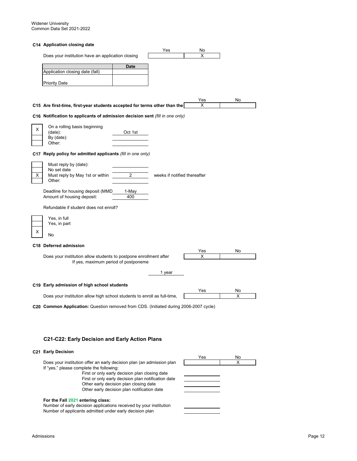#### **C14 Application closing date**

|   |                                                                                       |                | Yes                          | No  |    |
|---|---------------------------------------------------------------------------------------|----------------|------------------------------|-----|----|
|   | Does your institution have an application closing                                     |                |                              | х   |    |
|   |                                                                                       |                |                              |     |    |
|   | Application closing date (fall)                                                       | <b>Date</b>    |                              |     |    |
|   |                                                                                       |                |                              |     |    |
|   | <b>Priority Date</b>                                                                  |                |                              |     |    |
|   |                                                                                       |                |                              |     |    |
|   |                                                                                       |                |                              | Yes | No |
|   | C15 Are first-time, first-year students accepted for terms other than the             |                |                              | х   |    |
|   | C16 Notification to applicants of admission decision sent (fill in one only)          |                |                              |     |    |
|   | On a rolling basis beginning                                                          |                |                              |     |    |
| х | (data):                                                                               | Oct 1st        |                              |     |    |
|   | By (date):<br>Other:                                                                  |                |                              |     |    |
|   |                                                                                       |                |                              |     |    |
|   | C17 Reply policy for admitted applicants (fill in one only)                           |                |                              |     |    |
|   | Must reply by (date):                                                                 |                |                              |     |    |
| Χ | No set date<br>Must reply by May 1st or within                                        | $\overline{2}$ | weeks if notified thereafter |     |    |
|   | Other:                                                                                |                |                              |     |    |
|   | Deadline for housing deposit (MMD                                                     | 1-May          |                              |     |    |
|   | Amount of housing deposit:                                                            | 400            |                              |     |    |
|   | Refundable if student does not enroll?                                                |                |                              |     |    |
|   | Yes, in full                                                                          |                |                              |     |    |
|   | Yes, in part                                                                          |                |                              |     |    |
| х | No                                                                                    |                |                              |     |    |
|   | C18 Deferred admission                                                                |                |                              |     |    |
|   |                                                                                       |                |                              | Yes | No |
|   | Does your institution allow students to postpone enrollment after                     |                |                              | х   |    |
|   | If yes, maximum period of postponeme                                                  |                |                              |     |    |
|   |                                                                                       |                | 1 year                       |     |    |
|   |                                                                                       |                |                              |     |    |
|   | C19 Early admission of high school students                                           |                |                              | Yes | No |
|   | Does your institution allow high school students to enroll as full-time,              |                |                              |     | X  |
|   |                                                                                       |                |                              |     |    |
|   | C20 Common Application: Question removed from CDS. (Initiated during 2006-2007 cycle) |                |                              |     |    |
|   |                                                                                       |                |                              |     |    |
|   |                                                                                       |                |                              |     |    |
|   |                                                                                       |                |                              |     |    |
|   | C21-C22: Early Decision and Early Action Plans                                        |                |                              |     |    |

## **C21 Early Decision**

|                                                                                                                                                                                                | Yes | No |  |
|------------------------------------------------------------------------------------------------------------------------------------------------------------------------------------------------|-----|----|--|
| Does your institution offer an early decision plan (an admission plan<br>If "yes," please complete the following:                                                                              |     | x  |  |
| First or only early decision plan closing date<br>First or only early decision plan notification date<br>Other early decision plan closing date<br>Other early decision plan notification date |     |    |  |
| For the Fall 2021 entering class:<br>Number of early decision applications received by your institution<br>Number of applicants admitted under early decision plan                             |     |    |  |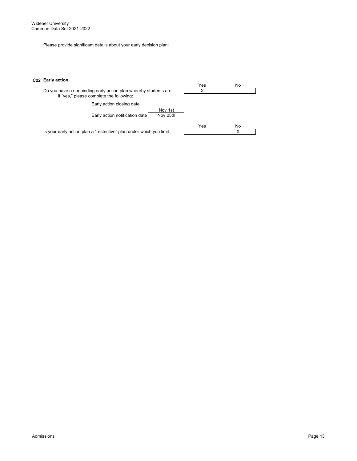Please provide significant details about your early decision plan:

## **C22 Early action**

|                                                                                                             | Yes | No |
|-------------------------------------------------------------------------------------------------------------|-----|----|
| Do you have a nonbinding early action plan whereby students are<br>If "yes," please complete the following: |     |    |
| Early action closing date                                                                                   |     |    |
| Nov 1st<br>Nov 25th<br>Early action notification date                                                       |     |    |
|                                                                                                             | Yes | No |
| Is your early action plan a "restrictive" plan under which you limit                                        |     |    |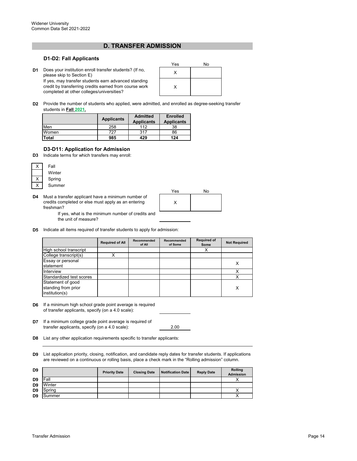## **D. TRANSFER ADMISSION**

#### **D1-D2: Fall Applicants**

**D1** Does your institution enroll transfer students? (If no,  $\begin{array}{ccc} \n\mathbf{D} & \mathbf{D} & \mathbf{D} & \mathbf{D} & \mathbf{D} & \mathbf{D} & \mathbf{D} & \mathbf{D} & \mathbf{D} & \mathbf{D} & \mathbf{D} & \mathbf{D} & \mathbf{D} & \mathbf{D} & \mathbf{D} & \mathbf{D} & \mathbf{D} & \mathbf{D} & \mathbf{D} & \mathbf{D} & \mathbf{D} & \mathbf{$ please skip to Section E) If yes, may transfer students earn advanced standing credit by transferring credits earned from course work

completed at other colleges/universities?

| Yes | No |
|-----|----|
| X   |    |
| X   |    |

**D2** Provide the number of students who applied, were admitted, and enrolled as degree-seeking transfer students in **Fall 2021.**

|              | <b>Applicants</b> | <b>Admitted</b><br><b>Applicants</b> | <b>Enrolled</b><br><b>Applicants</b> |  |
|--------------|-------------------|--------------------------------------|--------------------------------------|--|
| Men          | 258               | 112                                  | 38                                   |  |
| Women        | 727               | 317                                  | 86                                   |  |
| <b>Total</b> | 985               | 429                                  | 124                                  |  |

## **D3-D11: Application for Admission**

**D3** Indicate terms for which transfers may enroll:



**D4** Must a transfer applicant have a minimum number of credits completed or else must apply as an entering freshman?



If yes, what is the minimum number of credits and the unit of measure?

**D5** Indicate all items required of transfer students to apply for admission:

|                                       | <b>Required of All</b> | Recommended<br>of All | Recommended<br>of Some | <b>Required of</b><br>Some | <b>Not Required</b> |
|---------------------------------------|------------------------|-----------------------|------------------------|----------------------------|---------------------|
| High school transcript                |                        |                       |                        |                            |                     |
| College transcript(s)                 |                        |                       |                        |                            |                     |
| Essay or personal                     |                        |                       |                        |                            | x                   |
| statement                             |                        |                       |                        |                            |                     |
| Interview                             |                        |                       |                        |                            |                     |
| Standardized test scores              |                        |                       |                        |                            |                     |
| Statement of good                     |                        |                       |                        |                            |                     |
| standing from prior<br>institution(s) |                        |                       |                        |                            | x                   |

- **D6** If a minimum high school grade point average is required of transfer applicants, specify (on a 4.0 scale):
- **D7** If a minimum college grade point average is required of transfer applicants, specify (on a 4.0 scale):

2.00

- **D8** List any other application requirements specific to transfer applicants:
- **D9** List application priority, closing, notification, and candidate reply dates for transfer students. If applications are reviewed on a continuous or rolling basis, place a check mark in the "Rolling admission" column.

| D <sub>9</sub> |        | <b>Priority Date</b> | <b>Closing Date</b> | <b>Notification Date</b> | <b>Reply Date</b> | Rolling<br><b>Admission</b> |
|----------------|--------|----------------------|---------------------|--------------------------|-------------------|-----------------------------|
| D <sub>9</sub> | Fall   |                      |                     |                          |                   |                             |
| D <sub>9</sub> | Winter |                      |                     |                          |                   |                             |
| D <sub>9</sub> | Spring |                      |                     |                          |                   |                             |
| D <sub>9</sub> | Summer |                      |                     |                          |                   |                             |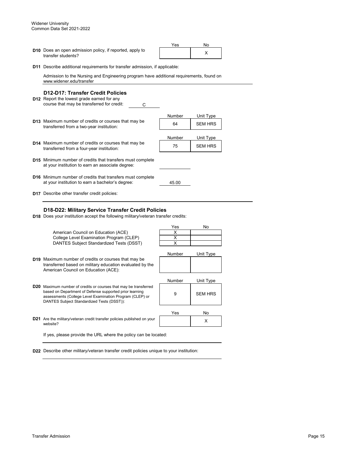**D10** Does an open admission policy, if reported, apply to **computer and the contract of the contract of the co**<br>transfer students? transfer students?

| Yes | N٥ |  |
|-----|----|--|
|     |    |  |

**D11** Describe additional requirements for transfer admission, if applicable:

Admission to the Nursing and Engineering program have additional requirements, found on www.widener.edu/transfer

## **D12-D17: Transfer Credit Policies**

- **D12** Report the lowest grade earned for any C course that may be transferred for credit:
- Number Unit Type **D13** <sup>64</sup> SEM HRS Maximum number of credits or courses that may be Number Unit Type **D14** Maximum number of credits or courses that may be  $\begin{array}{ccc} 75 \ \end{array}$  SEM HRS **D15** Minimum number of credits that transfers must complete **D16** Minimum number of credits that transfers must complete 45.00 **D17** Describe other transfer credit policies: transferred from a two-year institution: transferred from a four-year institution: at your institution to earn an associate degree: at your institution to earn a bachelor's degree:

## **D18-D22: Military Service Transfer Credit Policies**

**D18** Does your institution accept the following military/veteran transfer credits:

American Council on Education (ACE) College Level Examination Program (CLEP) DANTES Subject Standardized Tests (DSST)



- **D19** Maximum number of credits or courses that may be transferred based on military education evaluated by the American Council on Education (ACE):
- **D20** Maximum number of credits or courses that may be transferred based on Department of Defense supported prior learning assessments (College Level Examination Program (CLEP) or DANTES Subject Standardized Tests (DSST)):
- **D21** Are the military/veteran credit transfer policies published on your **the state of the contract of the contract of**  $\times$ website?

If yes, please provide the URL where the policy can be located:

**D22** Describe other military/veteran transfer credit policies unique to your institution:



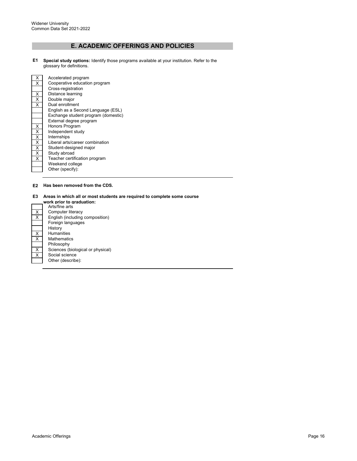# **E. ACADEMIC OFFERINGS AND POLICIES**

**E1 Special study options:** Identify those programs available at your institution. Refer to the glossary for definitions.

| x | Accelerated program                 |
|---|-------------------------------------|
| x | Cooperative education program       |
|   | Cross-registration                  |
| X | Distance learning                   |
| X | Double major                        |
| X | Dual enrollment                     |
|   | English as a Second Language (ESL)  |
|   | Exchange student program (domestic) |
|   | External degree program             |
| x | Honors Program                      |
| X | Independent study                   |
| X | Internships                         |
| X | Liberal arts/career combination     |
| X | Student-designed major              |
| X | Study abroad                        |
| X | Teacher certification program       |
|   | Weekend college                     |
|   | Other (specify):                    |

#### **E2 Has been removed from the CDS.**

## **E3 Areas in which all or most students are required to complete some course**

|                                 | work prior to graduation:         |
|---------------------------------|-----------------------------------|
|                                 | Arts/fine arts                    |
| X                               | Computer literacy                 |
| $\overline{\mathsf{x}}$         | English (including composition)   |
|                                 | Foreign languages                 |
|                                 | History                           |
| $\frac{\mathsf{x}}{\mathsf{x}}$ | <b>Humanities</b>                 |
|                                 | Mathematics                       |
|                                 | Philosophy                        |
| $\frac{x}{x}$                   | Sciences (biological or physical) |
|                                 | Social science                    |
|                                 | Other (describe):                 |
|                                 |                                   |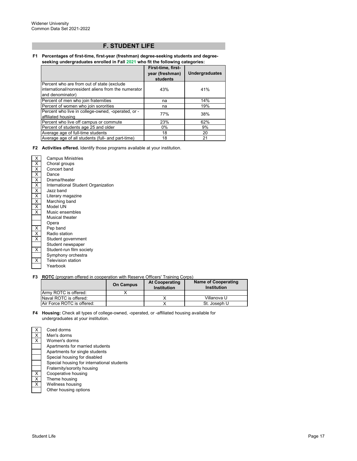## **F. STUDENT LIFE**

#### **F1 Percentages of first-time, first-year (freshman) degree-seeking students and degreeseeking undergraduates enrolled in Fall 2021 who fit the following categories:**

|                                                                                                                       | First-time, first-<br>year (freshman)<br>students | <b>Undergraduates</b> |
|-----------------------------------------------------------------------------------------------------------------------|---------------------------------------------------|-----------------------|
| Percent who are from out of state (exclude<br>international/nonresident aliens from the numerator<br>and denominator) | 43%                                               | 41%                   |
| Percent of men who join fraternities                                                                                  | na                                                | 14%                   |
| Percent of women who join sororities                                                                                  | na                                                | 19%                   |
| Percent who live in college-owned, -operated, or -<br>affiliated housing                                              | 77%                                               | 38%                   |
| Percent who live off campus or commute                                                                                | 23%                                               | 62%                   |
| Percent of students age 25 and older                                                                                  | 0%                                                | 9%                    |
| Average age of full-time students                                                                                     | 18                                                | 20                    |
| Average age of all students (full- and part-time)                                                                     | 18                                                | 21                    |

#### **F2 Activities offered.** Identify those programs available at your institution.

| Χ<br>Χ<br>Χ<br>$\overline{\mathsf{X}}$<br>$\overline{\mathsf{X}}$<br>$\overline{\mathsf{x}}$ | <b>Campus Ministries</b><br>Choral groups<br>Concert band<br>Dance<br>Drama/theater<br>International Student Organization |
|----------------------------------------------------------------------------------------------|---------------------------------------------------------------------------------------------------------------------------|
| $\overline{\mathsf{X}}$                                                                      | Jazz band                                                                                                                 |
| X                                                                                            | Literary magazine                                                                                                         |
| X                                                                                            | Marching band                                                                                                             |
| $\overline{\mathsf{x}}$                                                                      | Model UN                                                                                                                  |
| X                                                                                            | Music ensembles                                                                                                           |
|                                                                                              | Musical theater                                                                                                           |
|                                                                                              | Opera                                                                                                                     |
| Χ                                                                                            | Pep band                                                                                                                  |
| $\overline{\mathsf{x}}$                                                                      | Radio station                                                                                                             |
| X                                                                                            | Student government                                                                                                        |
|                                                                                              | Student newspaper                                                                                                         |
| x                                                                                            | Student-run film society                                                                                                  |
|                                                                                              | Symphony orchestra                                                                                                        |
| х                                                                                            | <b>Television station</b>                                                                                                 |
|                                                                                              | Yearbook                                                                                                                  |

Women's dorms

Wellness housing Other housing options

Fraternity/sorority housing

Apartments for single students

Apartments for married students

Special housing for disabled

Special housing for international students

#### **F3 ROTC** (program offered in cooperation with Reserve Officers' Training Corps)

|                                    | <b>On Campus</b> | <b>At Cooperating</b><br>Institution | <b>Name of Cooperating</b><br>Institution |
|------------------------------------|------------------|--------------------------------------|-------------------------------------------|
| Army ROTC is offered:              |                  |                                      |                                           |
| Naval ROTC is offered:             |                  |                                      | Villanova U                               |
| <b>IAir Force ROTC is offered:</b> |                  |                                      | St. Joseph U                              |

#### **F4 Housing:** Check all types of college-owned, -operated, or -affiliated housing available for undergraduates at your institution.

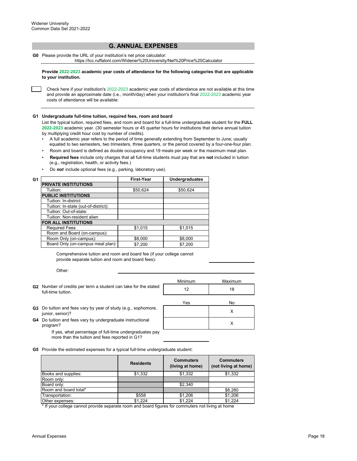## **G. ANNUAL EXPENSES**

**G0** Please provide the URL of your institution's net price calculator:

https://tcc.ruffalonl.com/Widener%20University/Net%20Price%20Calculator

**Provide 2022-2023 academic year costs of attendance for the following categories that are applicable to your institution.**

Check here if your institution's 2022-2023 academic year costs of attendance are not available at this time and provide an approximate date (i.e., month/day) when your institution's final 2022-2023 academic year costs of attendance will be available:

#### **G1 Undergraduate full-time tuition, required fees, room and board**

List the typical tuition, required fees, and room and board for a full-time undergraduate student for the **FULL 2022-2023** academic year. (30 semester hours or 45 quarter hours for institutions that derive annual tuition by multiplying credit hour cost by number of credits).

- •A full academic year refers to the period of time generally extending from September to June; usually equated to two semesters, two trimesters, three quarters, or the period covered by a four-one-four plan.
- Room and board is defined as double occupancy and 19 meals per week or the maximum meal plan.
- • **Required fees** include only charges that all full-time students must pay that are **not** included in tuition (e.g., registration, health, or activity fees.)
- Do *not* include optional fees (e.g., parking, laboratory use).

| G1       |                                      | <b>First-Year</b> | <b>Undergraduates</b> |
|----------|--------------------------------------|-------------------|-----------------------|
|          | <b>PRIVATE INSTITUTIONS</b>          |                   |                       |
| Tuition: |                                      | \$50,624          | \$50,624              |
|          | <b>PUBLIC INSTITUTIONS</b>           |                   |                       |
|          | Tuition: In-district                 |                   |                       |
|          | Tuition: In-state (out-of-district): |                   |                       |
|          | Tuition: Out-of-state:               |                   |                       |
|          | Tuition: Non-resident alien          |                   |                       |
|          | <b>FOR ALL INSTITUTIONS</b>          |                   |                       |
|          | <b>Required Fees</b>                 | \$1.015           | \$1,015               |
|          | Room and Board (on-campus):          |                   |                       |
|          | Room Only (on-campus):               | \$8,000           | \$8,000               |
|          | Board Only (on-campus meal plan):    | \$7,200           | \$7,200               |

Comprehensive tuition and room and board fee (if your college cannot provide separate tuition and room and board fees):

Other:

- Minimum Maximum **G2** Number of credits per term a student can take for the stated <br>full time tuition **that in the state of the stated** full time tuition Yes No full-time tuition.
- **G3** Do tuition and fees vary by year of study (e.g., sophomore, studies and all the control of the control of t<br>iunior, septior)? junior, senior)?
- **G4** Do tuition and fees vary by undergraduate instructional **COVID-SET AND A COVID-SET A**<br>Program? program?

If yes, what percentage of full-time undergraduates pay more than the tuition and fees reported in G1?

**G5** Provide the estimated expenses for a typical full-time undergraduate student:

|                       | <b>Residents</b> | <b>Commuters</b><br>(living at home) | <b>Commuters</b><br>(not living at home) |
|-----------------------|------------------|--------------------------------------|------------------------------------------|
| Books and supplies:   | \$1,332          | \$1,332                              | \$1,332                                  |
| Room only:            |                  |                                      |                                          |
| Board only:           |                  | \$2.340                              |                                          |
| Room and board total* |                  |                                      | \$8.280                                  |
| Transportation:       | \$558            | \$1,206                              | \$1,206                                  |
| Other expenses:       | \$1,224          | \$1,224                              | \$1.224                                  |

\* If your college cannot provide separate room and board figures for commuters not living at home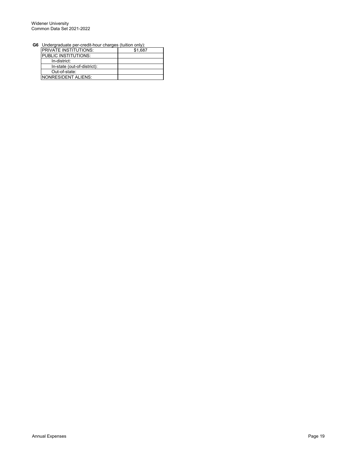#### Widener University Common Data Set 2021-2022

**G6** Undergraduate per-credit-hour charges (tuition only):

| $5.1551$ graduate por stock. How, stratiges |         |
|---------------------------------------------|---------|
| <b>PRIVATE INSTITUTIONS:</b>                | \$1,687 |
| <b>IPUBLIC INSTITUTIONS:</b>                |         |
| In-district:                                |         |
| In-state (out-of-district):                 |         |
| Out-of-state:                               |         |
| INONRESIDENT ALIENS:                        |         |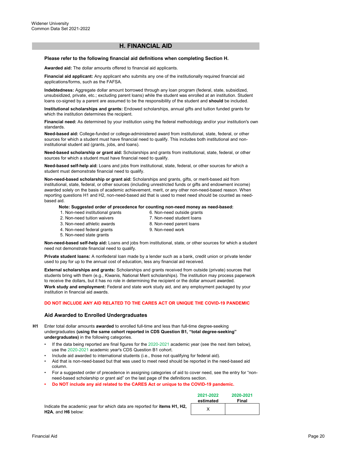## **H. FINANCIAL AID**

#### **Please refer to the following financial aid definitions when completing Section H.**

**Awarded aid:** The dollar amounts offered to financial aid applicants.

**Financial aid applicant:** Any applicant who submits any one of the institutionally required financial aid applications/forms, such as the FAFSA.

**Indebtedness:** Aggregate dollar amount borrowed through any loan program (federal, state, subsidized, unsubsidized, private, etc.; excluding parent loans) while the student was enrolled at an institution. Student loans co-signed by a parent are assumed to be the responsibility of the student and **should** be included.

**Institutional scholarships and grants:** Endowed scholarships, annual gifts and tuition funded grants for which the institution determines the recipient.

**Financial need:** As determined by your institution using the federal methodology and/or your institution's own standards.

**Need-based aid:** College-funded or college-administered award from institutional, state, federal, or other sources for which a student must have financial need to qualify. This includes both institutional and noninstitutional student aid (grants, jobs, and loans).

**Need-based scholarship or grant aid:** Scholarships and grants from institutional, state, federal, or other sources for which a student must have financial need to qualify.

**Need-based self-help aid:** Loans and jobs from institutional, state, federal, or other sources for which a student must demonstrate financial need to qualify.

**Non-need-based scholarship or grant aid:** Scholarships and grants, gifts, or merit-based aid from institutional, state, federal, or other sources (including unrestricted funds or gifts and endowment income) awarded solely on the basis of academic achievement, merit, or any other non-need-based reason. When reporting questions H1 and H2, non-need-based aid that is used to meet need should be counted as needbased aid.

#### **Note: Suggested order of precedence for counting non-need money as need-based:**

- 1. Non-need institutional grants
- 6. Non-need outside grants 7. Non-need student loans
- 2. Non-need tuition waivers 3. Non-need athletic awards
- 8. Non-need parent loans
- 4. Non-need federal grants
- 9. Non-need work
- 5. Non-need state grants

**Non-need-based self-help aid:** Loans and jobs from institutional, state, or other sources for which a student need not demonstrate financial need to qualify.

**Private student loans:** A nonfederal loan made by a lender such as a bank, credit union or private lender used to pay for up to the annual cost of education, less any financial aid received.

**External scholarships and grants:** Scholarships and grants received from outside (private) sources that students bring with them (e.g., Kiwanis, National Merit scholarships). The institution may process paperwork to receive the dollars, but it has no role in determining the recipient or the dollar amount awarded. **Work study and employment:** Federal and state work study aid, and any employment packaged by your institution in financial aid awards.

#### **DO NOT INCLUDE ANY AID RELATED TO THE CARES ACT OR UNIQUE THE COVID-19 PANDEMIC**

#### **Aid Awarded to Enrolled Undergraduates**

**H1** Enter total dollar amounts **awarded** to enrolled full-time and less than full-time degree-seeking undergraduates **(using the same cohort reported in CDS Question B1, "total degree-seeking" undergraduates)** in the following categories.

- If the data being reported are final figures for the 2020-2021 academic year (see the next item below), use the 2020-2021 academic year's CDS Question B1 cohort.
- Include aid awarded to international students (i.e., those not qualifying for federal aid).
- Aid that is non-need-based but that was used to meet need should be reported in the need-based aid column.
- For a suggested order of precedence in assigning categories of aid to cover need, see the entry for "non need-based scholarship or grant aid" on the last page of the definitions section.
- **Do NOT include any aid related to the CARES Act or unique to the COVID-19 pandemic.**

Indicate the academic year for which data are reported for **items H1, H2, H2A**, and **H6** below:

| 2021-2022 | 2020-2021 |
|-----------|-----------|
| estimated | Final     |
|           |           |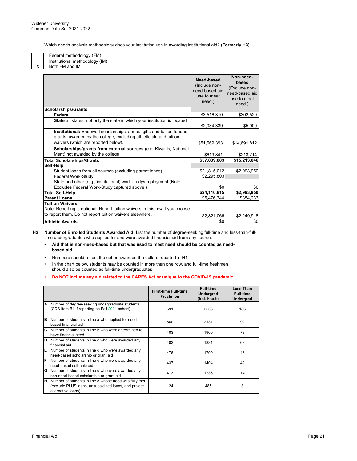Which needs-analysis methodology does your institution use in awarding institutional aid? **(Formerly H3)**

X

Both FM and IM Federal methodology (FM) Institutional methodology (IM)

|                                                                                                                                            | Need-based<br>(Include non-<br>need-based aid<br>use to meet<br>need.) | Non-need-<br>based<br>(Exclude non-<br>need-based aid<br>use to meet<br>need.) |
|--------------------------------------------------------------------------------------------------------------------------------------------|------------------------------------------------------------------------|--------------------------------------------------------------------------------|
| <b>Scholarships/Grants</b>                                                                                                                 |                                                                        |                                                                                |
| Federal                                                                                                                                    | \$3,516,310                                                            | \$302,520                                                                      |
| State all states, not only the state in which your institution is located                                                                  | \$2,034,339                                                            | \$5,000                                                                        |
| Institutional: Endowed scholarships, annual gifts and tuition funded<br>grants, awarded by the college, excluding athletic aid and tuition |                                                                        |                                                                                |
| waivers (which are reported below).                                                                                                        | \$51,669,393                                                           | \$14,691,812                                                                   |
| Scholarships/grants from external sources (e.g. Kiwanis, National                                                                          |                                                                        |                                                                                |
| Merit) not awarded by the college                                                                                                          | \$619,841                                                              | \$213,714                                                                      |
| <b>Total Scholarships/Grants</b>                                                                                                           | \$57,839,883                                                           | \$15,213,046                                                                   |
| Self-Help                                                                                                                                  |                                                                        |                                                                                |
| Student loans from all sources (excluding parent loans)                                                                                    | \$21,815,012                                                           | \$2,993,950                                                                    |
| Federal Work-Study                                                                                                                         | \$2,295,803                                                            |                                                                                |
| State and other (e.g., institutional) work-study/employment (Note:                                                                         |                                                                        |                                                                                |
| Excludes Federal Work-Study captured above.)                                                                                               | \$0                                                                    | \$0                                                                            |
| <b>Total Self-Help</b>                                                                                                                     | \$24,110,815                                                           | \$2,993,950                                                                    |
| <b>Parent Loans</b>                                                                                                                        | \$5,476,344                                                            | \$354,233                                                                      |
| <b>Tuition Waivers</b>                                                                                                                     |                                                                        |                                                                                |
| Note: Reporting is optional. Report tuition waivers in this row if you choose                                                              |                                                                        |                                                                                |
| to report them. Do not report tuition waivers elsewhere.                                                                                   | \$2,821,066                                                            | \$2,249,918                                                                    |
| <b>Athletic Awards</b>                                                                                                                     | \$0                                                                    | \$0                                                                            |
|                                                                                                                                            |                                                                        |                                                                                |

**H2 Number of Enrolled Students Awarded Aid:** List the number of degree-seeking full-time and less-than-fulltime undergraduates who applied for and were awarded financial aid from any source.

- • **Aid that is non-need-based but that was used to meet need should be counted as need based aid.**
- Numbers should reflect the cohort awarded the dollars reported in H1.
- In the chart below, students may be counted in more than one row, and full-time freshmen should also be counted as full-time undergraduates.

## • **Do NOT include any aid related to the CARES Act or unique to the COVID-19 pandemic.**

|     |                                                                                                                                            | <b>First-time Full-time</b><br><b>Freshmen</b> | <b>Full-time</b><br><b>Undergrad</b><br>(Incl. Fresh) | <b>Less Than</b><br><b>Full-time</b><br><b>Undergrad</b> |
|-----|--------------------------------------------------------------------------------------------------------------------------------------------|------------------------------------------------|-------------------------------------------------------|----------------------------------------------------------|
| A   | Number of degree-seeking undergraduate students<br>(CDS Item B1 if reporting on Fall 2021 cohort)                                          | 591                                            | 2533                                                  | 186                                                      |
| B   | Number of students in line a who applied for need-<br>based financial aid                                                                  | 560                                            | 2131                                                  | 92                                                       |
| lc. | Number of students in line <b>b</b> who were determined to<br>have financial need                                                          | 483                                            | 1900                                                  | 73                                                       |
| D   | Number of students in line c who were awarded any<br>financial aid                                                                         | 483                                            | 1881                                                  | 63                                                       |
| Έ   | Number of students in line <b>d</b> who were awarded any<br>need-based scholarship or grant aid                                            | 476                                            | 1799                                                  | 46                                                       |
| F   | Number of students in line <b>d</b> who were awarded any<br>need-based self-help aid                                                       | 437                                            | 1404                                                  | 42                                                       |
| G   | Number of students in line <b>d</b> who were awarded any<br>non-need-based scholarship or grant aid                                        | 473                                            | 1736                                                  | 14                                                       |
| П   | Number of students in line <b>d</b> whose need was fully met<br>(exclude PLUS loans, unsubsidized loans, and private<br>alternative loans) | 124                                            | 485                                                   | 3                                                        |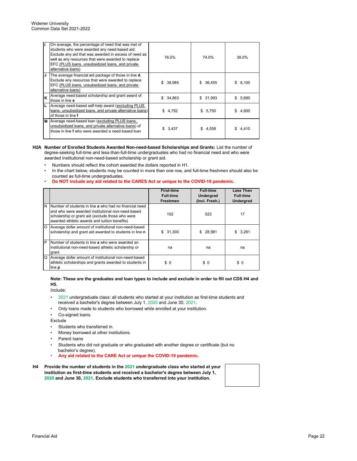| ı  | On average, the percentage of need that was met of<br>students who were awarded any need-based aid.<br>Exclude any aid that was awarded in excess of need as<br>well as any resources that were awarded to replace<br>EFC (PLUS loans, unsubsidized loans, and private | 76.0%       | 74.0%        | 39.0%       |
|----|------------------------------------------------------------------------------------------------------------------------------------------------------------------------------------------------------------------------------------------------------------------------|-------------|--------------|-------------|
|    | alternative loans)                                                                                                                                                                                                                                                     |             |              |             |
| IJ | The average financial aid package of those in line <b>d</b> .<br>Exclude any resources that were awarded to replace<br>EFC (PLUS loans, unsubsidized loans, and private<br>alternative loans)                                                                          | \$ 38.985   | 36,455<br>S. | 8,100<br>\$ |
| K  | Average need-based scholarship and grant award of<br>those in line e                                                                                                                                                                                                   | \$34,863    | 31,993<br>\$ | \$5,690     |
|    | Average need-based self-help award (excluding PLUS<br>loans, unsubsidized loans, and private alternative loans)<br>of those in line f                                                                                                                                  | 4,792<br>\$ | \$5,750      | 4.600<br>\$ |
|    | M Average need-based loan (excluding PLUS loans,<br>unsubsidized loans, and private alternative loans) of<br>those in line f who were awarded a need-based loan                                                                                                        | \$3,437     | 4,558<br>S.  | \$4,410     |

#### **H2A Number of Enrolled Students Awarded Non-need-based Scholarships and Grants:** List the number of degree-seeking full-time and less-than-full-time undergraduates who had no financial need and who were awarded institutional non-need-based scholarship or grant aid.

- Numbers should reflect the cohort awarded the dollars reported in H1.
- In the chart below, students may be counted in more than one row, and full-time freshmen should also be counted as full-time undergraduates.
- **Do NOT include any aid related to the CARES Act or unique to the COVID-19 pandemic.**

|         |                                                                                                                                                                                                                  | <b>First-time</b><br><b>Full-time</b><br><b>Freshmen</b> | <b>Full-time</b><br>Undergrad<br>(Incl. Fresh.) | <b>Less Than</b><br><b>Full-time</b><br><b>Undergrad</b> |
|---------|------------------------------------------------------------------------------------------------------------------------------------------------------------------------------------------------------------------|----------------------------------------------------------|-------------------------------------------------|----------------------------------------------------------|
| N       | Number of students in line a who had no financial need<br>and who were awarded institutional non-need-based<br>scholarship or grant aid (exclude those who were<br>awarded athletic awards and tuition benefits) | 102                                                      | 523                                             | 17                                                       |
| $\circ$ | Average dollar amount of institutional non-need-based<br>scholarship and grant aid awarded to students in line n                                                                                                 | \$31,300                                                 | 28.981<br>\$.                                   | 3.281<br>S.                                              |
| P       | Number of students in line a who were awarded an<br>institutional non-need-based athletic scholarship or<br>grant                                                                                                | na                                                       | na                                              | na                                                       |
| Q       | Average dollar amount of institutional non-need-based<br>athletic scholarships and grants awarded to students in<br>line <b>p</b>                                                                                | \$0                                                      | \$0                                             | \$0                                                      |

#### **Note: These are the graduates and loan types to include and exclude in order to fill out CDS H4 and H5.**

Include:

- •2021 undergraduate class: all students who started at your institution as first-time students and received a bachelor's degree between July 1, 2020 and June 30, 2021.
- Only loans made to students who borrowed while enrolled at your institution.
- Co-signed loans.

Exclude

- Students who transferred in.
- Money borrowed at other institutions.
- Parent loans
- Students who did not graduate or who graduated with another degree or certificate (but no bachelor's degree).
- **Any aid related to the CARE Act or unique the COVID-19 pandemic.**
- **H4 Provide the number of students in the 2021 undergraduate class who started at your institution as first-time students and received a bachelor's degree between July 1, 2020 and June 30, 2021. Exclude students who transferred into your institution.**

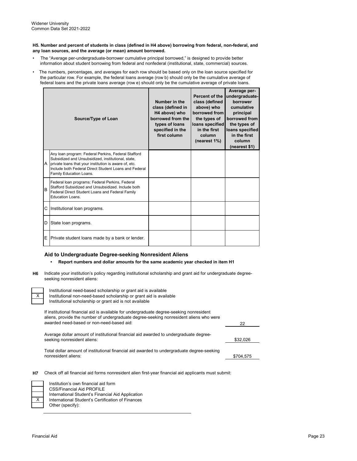#### **H5. Number and percent of students in class (defined in H4 above) borrowing from federal, non-federal, and any loan sources, and the average (or mean) amount borrowed.**

- The "Average per-undergraduate-borrower cumulative principal borrowed," is designed to provide better information about student borrowing from federal and nonfederal (institutional, state, commercial) sources.
- The numbers, percentages, and averages for each row should be based only on the loan source specified for the particular row. For example, the federal loans average (row b) should only be the cumulative average of federal loans and the private loans average (row e) should only be the cumulative average of private loans.

|          | Source/Type of Loan                                                                                                                                                                                                                                    | Number in the<br>class (defined in<br>H4 above) who<br>borrowed from the<br>types of loans<br>specified in the<br>first column | Percent of the<br>class (defined<br>above) who<br>borrowed from<br>the types of<br>loans specified<br>in the first<br>column<br>(nearest 1%) | Average per-<br>undergraduate-<br>borrower<br>cumulative<br>principal<br>borrowed from<br>the types of<br>loans specified<br>in the first<br>column<br>(nearest \$1) |
|----------|--------------------------------------------------------------------------------------------------------------------------------------------------------------------------------------------------------------------------------------------------------|--------------------------------------------------------------------------------------------------------------------------------|----------------------------------------------------------------------------------------------------------------------------------------------|----------------------------------------------------------------------------------------------------------------------------------------------------------------------|
| <b>A</b> | Any loan program: Federal Perkins, Federal Stafford<br>Subsidized and Unsubsidized, institutional, state,<br>private loans that your institution is aware of, etc.<br>Include both Federal Direct Student Loans and Federal<br>Family Education Loans. |                                                                                                                                |                                                                                                                                              |                                                                                                                                                                      |
| B        | Federal loan programs: Federal Perkins, Federal<br>Stafford Subsidized and Unsubsidized. Include both<br>Federal Direct Student Loans and Federal Family<br>Education Loans.                                                                           |                                                                                                                                |                                                                                                                                              |                                                                                                                                                                      |
| C        | Institutional loan programs.                                                                                                                                                                                                                           |                                                                                                                                |                                                                                                                                              |                                                                                                                                                                      |
| D        | State loan programs.                                                                                                                                                                                                                                   |                                                                                                                                |                                                                                                                                              |                                                                                                                                                                      |
| E        | Private student loans made by a bank or lender.                                                                                                                                                                                                        |                                                                                                                                |                                                                                                                                              |                                                                                                                                                                      |

#### **Aid to Undergraduate Degree-seeking Nonresident Aliens**

#### **• Report numbers and dollar amounts for the same academic year checked in item H1**

**H6** Indicate your institution's policy regarding institutional scholarship and grant aid for undergraduate degreeseeking nonresident aliens:

| Institutional need-based scholarship or grant aid is available<br>X<br>Institutional non-need-based scholarship or grant aid is available<br>Institutional scholarship or grant aid is not available                            |           |
|---------------------------------------------------------------------------------------------------------------------------------------------------------------------------------------------------------------------------------|-----------|
| If institutional financial aid is available for undergraduate degree-seeking nonresident<br>aliens, provide the number of undergraduate degree-seeking nonresident aliens who were<br>awarded need-based or non-need-based aid: | 22        |
| Average dollar amount of institutional financial aid awarded to undergraduate degree-<br>seeking nonresident aliens:                                                                                                            | \$32,026  |
| Total dollar amount of institutional financial aid awarded to undergraduate degree-seeking<br>nonresident aliens:                                                                                                               | \$704,575 |
|                                                                                                                                                                                                                                 |           |

**H7** Check off all financial aid forms nonresident alien first-year financial aid applicants must submit:

| Institution's own financial aid form              |
|---------------------------------------------------|
| <b>CSS/Financial Aid PROFILE</b>                  |
| International Student's Financial Aid Application |
| International Student's Certification of Finances |
| Other (specify):                                  |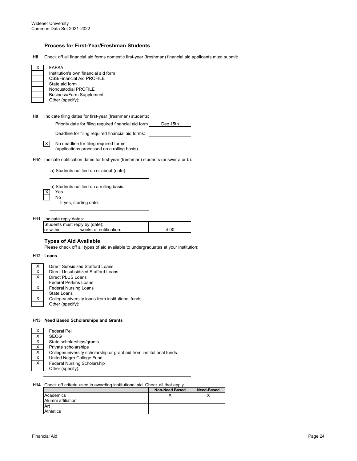## **Process for First-Year/Freshman Students**

**H8** Check off all financial aid forms domestic first-year (freshman) financial aid applicants must submit:

| x | <b>FAFSA</b>                         |
|---|--------------------------------------|
|   | Institution's own financial aid form |
|   | CSS/Financial Aid PROFILE            |
|   | State aid form                       |
|   | Noncustodial PROFILE                 |
|   | <b>Business/Farm Supplement</b>      |
|   | Other (specify):                     |

**H9** Indicate filing dates for first-year (freshman) students:

Priority date for filing required financial aid forms Dec 15th

Deadline for filing required financial aid forms:

X No deadline for filing required forms (applications processed on a rolling basis)

**H10** Indicate notification dates for first-year (freshman) students (answer a or b):

a) Students notified on or about (date):

b) Students notified on a rolling basis: X Yes No If yes, starting date:

**H11** Indicate reply dates:

|           | Students must reply by (date): |  |
|-----------|--------------------------------|--|
| or within | weeks of notification          |  |

## **Types of Aid Available**

Please check off all types of aid available to undergraduates at your institution:

#### **H12 Loans**

| Direct Subsidized Stafford Loans                  |
|---------------------------------------------------|
| Direct Unsubsidized Stafford Loans                |
| Direct PLUS Loans                                 |
| <b>Federal Perkins Loans</b>                      |
| <b>Federal Nursing Loans</b>                      |
| State Loans                                       |
| College/university loans from institutional funds |
| Other (specify):                                  |
|                                                   |

#### **H13 Need Based Scholarships and Grants**

| х               | <b>Federal Pell</b>                                                  |
|-----------------|----------------------------------------------------------------------|
| $\underline{x}$ | <b>SEOG</b>                                                          |
| Χ               | State scholarships/grants                                            |
| $\overline{X}$  | Private scholarships                                                 |
| X               | College/university scholarship or grant aid from institutional funds |
| Х               | United Negro College Fund                                            |
| Χ               | Federal Nursing Scholarship                                          |
|                 | Other (specify):                                                     |

#### **H14** Check off criteria used in awarding institutional aid. Check all that apply.

|                    | <b>Non-Need Based</b> | Need-Based |
|--------------------|-----------------------|------------|
| Academics          |                       |            |
| Alumni affiliation |                       |            |
| Art                |                       |            |
| <b>Athletics</b>   |                       |            |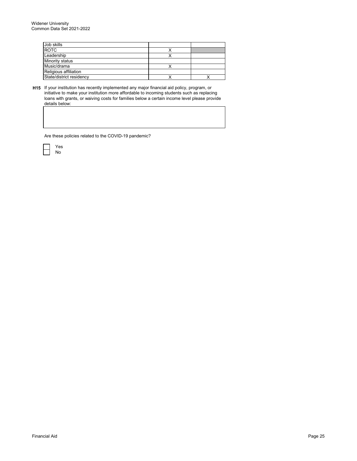| Job skills               |  |
|--------------------------|--|
| <b>ROTC</b>              |  |
| Leadership               |  |
| Minority status          |  |
| Music/drama              |  |
| Religious affiliation    |  |
| State/district residency |  |

**H15** If your institution has recently implemented any major financial aid policy, program, or initiative to make your institution more affordable to incoming students such as replacing loans with grants, or waiving costs for families below a certain income level please provide details below:

Are these policies related to the COVID-19 pandemic?

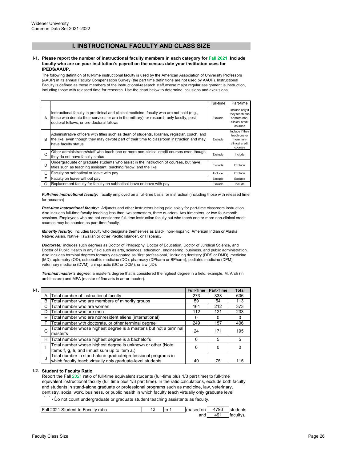# **I. INSTRUCTIONAL FACULTY AND CLASS SIZE**

#### **I-1. Please report the number of instructional faculty members in each category for Fall 2021. Include faculty who are on your institution's payroll on the census date your institution uses for IPEDS/AAUP.**

The following definition of full-time instructional faculty is used by the American Association of University Professors (AAUP) in its annual Faculty Compensation Survey (the part time definitions are not used by AAUP). Instructional Faculty is defined as those members of the instructional-research staff whose major regular assignment is instruction, including those with released time for research. Use the chart below to determine inclusions and exclusions:

|   |                                                                                                                                                                                                                                      | Full-time | Part-time                                                                       |
|---|--------------------------------------------------------------------------------------------------------------------------------------------------------------------------------------------------------------------------------------|-----------|---------------------------------------------------------------------------------|
| A | Instructional faculty in preclinical and clinical medicine, faculty who are not paid (e.g.,<br>those who donate their services or are in the military), or research-only faculty, post-<br>doctoral fellows, or pre-doctoral fellows | Exclude   | Include only if<br>they teach one<br>or more non-<br>clinical credit<br>courses |
| B | Administrative officers with titles such as dean of students, librarian, registrar, coach, and<br>the like, even though they may devote part of their time to classroom instruction and may<br>have faculty status                   | Exclude   | Include if they<br>teach one or<br>more non-<br>clinical credit<br>courses      |
| C | Other administrators/staff who teach one or more non-clinical credit courses even though<br>they do not have faculty status                                                                                                          | Exclude   | Include                                                                         |
| D | Undergraduate or graduate students who assist in the instruction of courses, but have<br>titles such as teaching assistant, teaching fellow, and the like                                                                            | Exclude   | Exclude                                                                         |
| E | Faculty on sabbatical or leave with pay                                                                                                                                                                                              | Include   | Exclude                                                                         |
| F | Faculty on leave without pay                                                                                                                                                                                                         | Exclude   | Exclude                                                                         |
| G | Replacement faculty for faculty on sabbatical leave or leave with pay                                                                                                                                                                | Exclude   | Include                                                                         |

*Full-time instructional faculty:* faculty employed on a full-time basis for instruction (including those with released time for research)

*Part-time instructional faculty:* Adjuncts and other instructors being paid solely for part-time classroom instruction. Also includes full-time faculty teaching less than two semesters, three quarters, two trimesters, or two four-month sessions. Employees who are not considered full-time instruction faculty but who teach one or more non-clinical credit courses may be counted as part-time faculty.

*Minority faculty:* includes faculty who designate themselves as Black, non-Hispanic; American Indian or Alaska Native; Asian, Native Hawaiian or other Pacific Islander, or Hispanic.

*Doctorate:* includes such degrees as Doctor of Philosophy, Doctor of Education, Doctor of Juridical Science, and Doctor of Public Health in any field such as arts, sciences, education, engineering, business, and public administration. Also includes terminal degrees formerly designated as "first professional," including dentistry (DDS or DMD), medicine (MD), optometry (OD), osteopathic medicine (DO), pharmacy (DPharm or BPharm), podiatric medicine (DPM), veterinary medicine (DVM), chiropractic (DC or DCM), or law (JD).

*Terminal master's degree:* a master's degree that is considered the highest degree in a field: example, M. Arch (in architecture) and MFA (master of fine arts in art or theater).

| $1-1.$ |   |                                                                                                                             | <b>Full-Time</b> | Part-Time | Total |
|--------|---|-----------------------------------------------------------------------------------------------------------------------------|------------------|-----------|-------|
|        | A | Total number of instructional faculty                                                                                       | 273              | 333       | 606   |
|        | B | Total number who are members of minority groups                                                                             | 59               | 54        | 113   |
|        |   | Total number who are women                                                                                                  | 161              | 212       | 373   |
|        | D | Total number who are men                                                                                                    | 112              | 121       | 233   |
|        | Е | Total number who are nonresident aliens (international)                                                                     | 0                | o         | 0     |
|        | F | Total number with doctorate, or other terminal degree                                                                       | 249              | 157       | 406   |
|        | G | Total number whose highest degree is a master's but not a terminal<br>master's                                              | 24               | 171       | 195   |
|        | н | Total number whose highest degree is a bachelor's                                                                           |                  | 5         | 5     |
|        |   | Total number whose highest degree is unknown or other (Note:<br>Items f, g, h, and i must sum up to item a.)                |                  | 0         | 0     |
|        | J | Total number in stand-alone graduate/professional programs in<br>which faculty teach virtually only graduate-level students | 40               | 75        | 115   |

## **I-2. Student to Faculty Ratio**

Report the Fall 2021 ratio of full-time equivalent students (full-time plus 1/3 part time) to full-time equivalent instructional faculty (full time plus 1/3 part time). In the ratio calculations, exclude both faculty and students in stand-alone graduate or professional programs such as medicine, law, veterinary, dentistry, social work, business, or public health in which faculty teach virtually only graduate level

 $\dot{\phantom{\phi}}$  • Do not count undergraduate or graduate student teaching assistants as faculty.

| Student to Faculty ratio<br><b>Fall 2021</b> | Ito | (based<br>on | 4793 | students |
|----------------------------------------------|-----|--------------|------|----------|
|                                              |     | and          | 49'  | taculty. |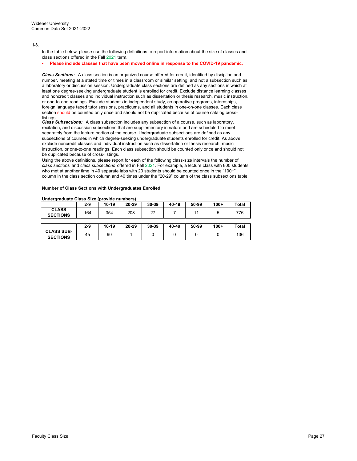#### **I-3.**

In the table below, please use the following definitions to report information about the size of classes and class sections offered in the Fall 2021 term.

#### **• Please include classes that have been moved online in response to the COVID-19 pandemic.**

*Class Sections:* A class section is an organized course offered for credit, identified by discipline and number, meeting at a stated time or times in a classroom or similar setting, and not a subsection such as a laboratory or discussion session. Undergraduate class sections are defined as any sections in which at least one degree-seeking undergraduate student is enrolled for credit. Exclude distance learning classes and noncredit classes and individual instruction such as dissertation or thesis research, music instruction, or one-to-one readings. Exclude students in independent study, co-operative programs, internships, foreign language taped tutor sessions, practicums, and all students in one-on-one classes. Each class section should be counted only once and should not be duplicated because of course catalog crosslistings.

*Class Subsections:* A class subsection includes any subsection of a course, such as laboratory, recitation, and discussion subsections that are supplementary in nature and are scheduled to meet separately from the lecture portion of the course. Undergraduate subsections are defined as any subsections of courses in which degree-seeking undergraduate students enrolled for credit. As above, exclude noncredit classes and individual instruction such as dissertation or thesis research, music instruction, or one-to-one readings. Each class subsection should be counted only once and should not be duplicated because of cross-listings.

Using the above definitions, please report for each of the following class-size intervals the number of *class sections* and *class subsections* offered in Fall 2021. For example, a lecture class with 800 students who met at another time in 40 separate labs with 20 students should be counted once in the "100+" column in the class section column and 40 times under the "20-29" column of the class subsections table.

#### **Number of Class Sections with Undergraduates Enrolled**

| <u>undu graadatu undu ulev (providu nambulu)</u> |       |         |       |       |       |       |        |       |
|--------------------------------------------------|-------|---------|-------|-------|-------|-------|--------|-------|
|                                                  | 2-9   | $10-19$ | 20-29 | 30-39 | 40-49 | 50-99 | $100+$ | Total |
| <b>CLASS</b><br><b>SECTIONS</b>                  | 164   | 354     | 208   | 27    |       | 11    | 5      | 776   |
|                                                  |       |         |       |       |       |       |        |       |
|                                                  | $2-9$ | 10-19   | 20-29 | 30-39 | 40-49 | 50-99 | $100+$ | Total |
| <b>CLASS SUB-</b><br><b>SECTIONS</b>             | 45    | 90      |       | 0     | 0     | 0     | 0      | 136   |

#### **Undergraduate Class Size (provide numbers)**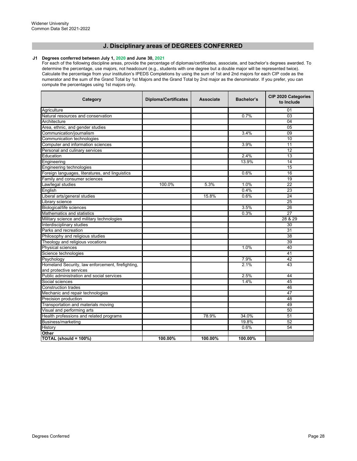## **J. Disciplinary areas of DEGREES CONFERRED**

#### **J1 Degrees conferred between July 1, 2020 and June 30, 2021**

For each of the following discipline areas, provide the percentage of diplomas/certificates, associate, and bachelor's degrees awarded. To determine the percentage, use majors, not headcount (e.g., students with one degree but a double major will be represented twice). Calculate the percentage from your institution's IPEDS Completions by using the sum of 1st and 2nd majors for each CIP code as the numerator and the sum of the Grand Total by 1st Majors and the Grand Total by 2nd major as the denominator. If you prefer, you can compute the percentages using 1st majors only.

| Category                                          | <b>Diploma/Certificates</b> | <b>Associate</b> | Bachelor's | <b>CIP 2020 Categories</b><br>to Include |
|---------------------------------------------------|-----------------------------|------------------|------------|------------------------------------------|
| Agriculture                                       |                             |                  |            | 01                                       |
| Natural resources and conservation                |                             |                  | 0.7%       | 03                                       |
| Architecture                                      |                             |                  |            | 04                                       |
| Area, ethnic, and gender studies                  |                             |                  |            | 05                                       |
| Communication/journalism                          |                             |                  | 3.4%       | $\overline{09}$                          |
| Communication technologies                        |                             |                  |            | 10                                       |
| Computer and information sciences                 |                             |                  | 3.9%       | 11                                       |
| Personal and culinary services                    |                             |                  |            | 12                                       |
| Education                                         |                             |                  | 2.4%       | 13                                       |
| Engineering                                       |                             |                  | 13.9%      | $\overline{14}$                          |
| Engineering technologies                          |                             |                  |            | 15                                       |
| Foreign languages, literatures, and linguistics   |                             |                  | 0.6%       | 16                                       |
| Family and consumer sciences                      |                             |                  |            | 19                                       |
| Law/legal studies                                 | 100.0%                      | 5.3%             | 1.0%       | 22                                       |
| English                                           |                             |                  | 0.4%       | 23                                       |
| Liberal arts/general studies                      |                             | 15.8%            | 0.6%       | 24                                       |
| Library science                                   |                             |                  |            | 25                                       |
| Biological/life sciences                          |                             |                  | 3.5%       | 26                                       |
| Mathematics and statistics                        |                             |                  | 0.3%       | 27                                       |
| Military science and military technologies        |                             |                  |            | 28 & 29                                  |
| Interdisciplinary studies                         |                             |                  |            | 30                                       |
| Parks and recreation                              |                             |                  |            | 31                                       |
| Philosophy and religious studies                  |                             |                  |            | 38                                       |
| Theology and religious vocations                  |                             |                  |            | 39                                       |
| <b>Physical sciences</b>                          |                             |                  | 1.0%       | 40                                       |
| Science technologies                              |                             |                  |            | 41                                       |
| Psychology                                        |                             |                  | 7.9%       | 42                                       |
| Homeland Security, law enforcement, firefighting, |                             |                  | 2.1%       | 43                                       |
| and protective services                           |                             |                  |            |                                          |
| Public administration and social services         |                             |                  | 2.5%       | 44                                       |
| Social sciences                                   |                             |                  | 1.4%       | 45                                       |
| <b>Construction trades</b>                        |                             |                  |            | 46                                       |
| Mechanic and repair technologies                  |                             |                  |            | 47                                       |
| Precision production                              |                             |                  |            | 48                                       |
| Transportation and materials moving               |                             |                  |            | 49                                       |
| Visual and performing arts                        |                             |                  |            | 50                                       |
| Health professions and related programs           |                             | 78.9%            | 34.0%      | 51                                       |
| Business/marketing                                |                             |                  | 19.8%      | 52                                       |
| History                                           |                             |                  | 0.6%       | 54                                       |
| Other                                             |                             |                  |            |                                          |
| TOTAL (should = 100%)                             | 100.00%                     | 100.00%          | 100.00%    |                                          |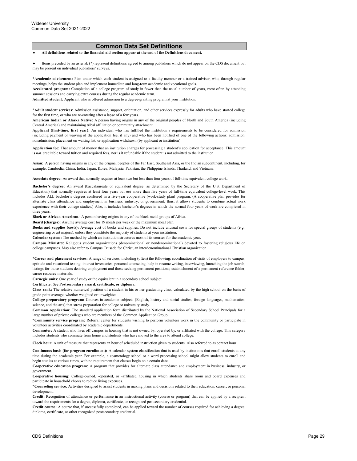#### **Common Data Set Definitions**

♦ **All definitions related to the financial aid section appear at the end of the Definitions document.**

Items preceded by an asterisk (\*) represent definitions agreed to among publishers which do not appear on the CDS document but may be present on individual publishers' surveys.

**\*Academic advisement:** Plan under which each student is assigned to a faculty member or a trained adviser, who, through regular meetings, helps the student plan and implement immediate and long-term academic and vocational goals.

**Accelerated program:** Completion of a college program of study in fewer than the usual number of years, most often by attending summer sessions and carrying extra courses during the regular academic term**.**

**Admitted student:** Applicant who is offered admission to a degree-granting program at your institution.

**\*Adult student services:** Admission assistance, support, orientation, and other services expressly for adults who have started college for the first time, or who are re-entering after a lapse of a few years.

**American Indian or Alaska Native:** A person having origins in any of the original peoples of North and South America (including Central America) and maintaining tribal affiliation or community attachment.

**Applicant (first-time, first year):** An individual who has fulfilled the institution's requirements to be considered for admission (including payment or waiving of the application fee, if any) and who has been notified of one of the following actions: admission, nonadmission, placement on waiting list, or application withdrawn (by applicant or institution).

**Application fee:** That amount of money that an institution charges for processing a student's application for acceptance. This amount is *not* creditable toward tuition and required fees, nor is it refundable if the student is not admitted to the institution.

**Asian:** A person having origins in any of the original peoples of the Far East, Southeast Asia, or the Indian subcontinent, including, for example, Cambodia, China, India, Japan, Korea, Malaysia, Pakistan, the Philippine Islands, Thailand, and Vietnam.

**Associate degree:** An award that normally requires at least two but less than four years of full-time equivalent college work.

**Bachelor's degree:** An award (baccalaureate or equivalent degree, as determined by the Secretary of the U.S. Department of Education) that normally requires at least four years but *not* more than five years of full-time equivalent college-level work. This includes ALL bachelor's degrees conferred in a five-year cooperative (work-study plan) program. (A cooperative plan provides for alternate class attendance and employment in business, industry, or government; thus, it allows students to combine actual work experience with their college studies.) Also, it includes bachelor's degrees in which the normal four years of work are completed in three years.

**Black or African American***:* A person having origins in any of the black racial groups of Africa.

**Board (charges):** Assume average cost for 19 meals per week or the maximum meal plan.

**Books and supplies (costs):** Average cost of books and supplies. Do not include unusual costs for special groups of students (e.g., engineering or art majors), unless they constitute the majority of students at your institution.

**Calendar system:** The method by which an institution structures most of its courses for the academic year.

**Campus Ministry:** Religious student organizations (denominational or nondenominational) devoted to fostering religious life on college campuses. May also refer to Campus Crusade for Christ, an interdenominational Christian organization.

**\*Career and placement services:** A range of services, including (often) the following: coordination of visits of employers to campus; aptitude and vocational testing; interest inventories, personal counseling; help in resume writing, interviewing, launching the job search; listings for those students desiring employment and those seeking permanent positions; establishment of a permanent reference folder; career resource materials.

**Carnegie units:** One year of study or the equivalent in a secondary school subject.

**Certificate:** See **Postsecondary award, certificate, or diploma.**

**Class rank:** The relative numerical position of a student in his or her graduating class, calculated by the high school on the basis of grade-point average, whether weighted or unweighted.

**College-preparatory program:** Courses in academic subjects (English, history and social studies, foreign languages, mathematics, science, and the arts) that stress preparation for college or university study.

**Common Application:** The standard application form distributed by the National Association of Secondary School Principals for a large number of private colleges who are members of the Common Application Group.

**\*Community service program:** Referral center for students wishing to perform volunteer work in the community or participate in volunteer activities coordinated by academic departments.

**Commuter:** A student who lives off campus in housing that is not owned by, operated by, or affiliated with the college. This category includes students who commute from home and students who have moved to the area to attend college.

**Clock hour:** A unit of measure that represents an hour of scheduled instruction given to students. Also referred to as contact hour.

**Continuous basis (for program enrollment):** A calendar system classification that is used by institutions that enroll students at any time during the academic year. For example, a cosmetology school or a word processing school might allow students to enroll and begin studies at various times, with no requirement that classes begin on a certain date.

**Cooperative education program:** A program that provides for alternate class attendance and employment in business, industry, or government.

**Cooperative housing:** College-owned, -operated, or -affiliated housing in which students share room and board expenses and participate in household chores to reduce living expenses.

**\*Counseling service:** Activities designed to assist students in making plans and decisions related to their education, career, or personal development.

**Credit:** Recognition of attendance or performance in an instructional activity (course or program) that can be applied by a recipient toward the requirements for a degree, diploma, certificate, or recognized postsecondary credential.

**Credit course:** A course that, if successfully completed, can be applied toward the number of courses required for achieving a degree, diploma, certificate, or other recognized postsecondary credential.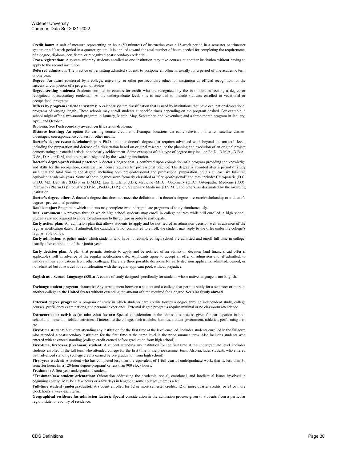**Credit hour:** A unit of measure representing an hour (50 minutes) of instruction over a 15-week period in a semester or trimester system or a 10-week period in a quarter system. It is applied toward the total number of hours needed for completing the requirements of a degree, diploma, certificate, or recognized postsecondary credential.

**Cross-registration:** A system whereby students enrolled at one institution may take courses at another institution without having to apply to the second institution.

**Deferred admission:** The practice of permitting admitted students to postpone enrollment, usually for a period of one academic term or one year.

**Degree:** An award conferred by a college, university, or other postsecondary education institution as official recognition for the successful completion of a program of studies.

**Degree-seeking students:** Students enrolled in courses for credit who are recognized by the institution as seeking a degree or recognized postsecondary credential. At the undergraduate level, this is intended to include students enrolled in vocational or occupational programs.

**Differs by program (calendar system):** A calendar system classification that is used by institutions that have occupational/vocational programs of varying length. These schools may enroll students at specific times depending on the program desired. For example, a school might offer a two-month program in January, March, May, September, and November; and a three-month program in January, April, and October.

**Diploma:** See **Postsecondary award, certificate, or diploma.**

**Distance learning:** An option for earning course credit at off-campus locations via cable television, internet, satellite classes, videotapes, correspondence courses, or other means.

**Doctor's degree-research/scholarship**: A Ph.D. or other doctor's degree that requires advanced work beyond the master's level, including the preparation and defense of a dissertation based on original research, or the planning and execution of an original project demonstrating substantial artistic or scholarly achievement. Some examples of this type of degree may include Ed.D., D.M.A., D.B.A., D.Sc., D.A., or D.M, and others, as designated by the awarding institution.

**Doctor's degree-professional practice**: A doctor's degree that is conferred upon completion of a program providing the knowledge and skills for the recognition, credential, or license required for professional practice. The degree is awarded after a period of study such that the total time to the degree, including both pre-professional and professional preparation, equals at least six full-time equivalent academic years. Some of these degrees were formerly classified as "first-professional" and may include: Chiropractic (D.C. or D.C.M.); Dentistry (D.D.S. or D.M.D.); Law (L.L.B. or J.D.); Medicine (M.D.); Optometry (O.D.); Osteopathic Medicine (D.O); Pharmacy (Pharm.D.); Podiatry (D.P.M., Pod.D., D.P.); or, Veterinary Medicine (D.V.M.), and others, as designated by the awarding institution.

**Doctor's degree-other**: A doctor's degree that does not meet the definition of a doctor's degree - research/scholarship or a doctor's degree - professional practice.

**Double major:** Program in which students may complete two undergraduate programs of study simultaneously.

**Dual enrollment:** A program through which high school students may enroll in college courses while still enrolled in high school. Students are not required to apply for admission to the college in order to participate.

**Early action plan:** An admission plan that allows students to apply and be notified of an admission decision well in advance of the regular notification dates. If admitted, the candidate is not committed to enroll; the student may reply to the offer under the college's regular reply policy.

**Early admission:** A policy under which students who have not completed high school are admitted and enroll full time in college, usually after completion of their junior year.

**Early decision plan:** A plan that permits students to apply and be notified of an admission decision (and financial aid offer if applicable) well in advance of the regular notification date. Applicants agree to accept an offer of admission and, if admitted, to withdraw their applications from other colleges. There are three possible decisions for early decision applicants: admitted, denied, or not admitted but forwarded for consideration with the regular applicant pool, without prejudice.

**English as a Second Language (ESL):** A course of study designed specifically for students whose native language is not English.

**Exchange student program-domestic:** Any arrangement between a student and a college that permits study for a semester or more at another college **in the United States** without extending the amount of time required for a degree. **See also Study abroad**.

**External degree program:** A program of study in which students earn credits toward a degree through independent study, college courses, proficiency examinations, and personal experience. External degree programs require minimal or no classroom attendance.

**Extracurricular activities (as admission factor):** Special consideration in the admissions process given for participation in both school and nonschool-related activities of interest to the college, such as clubs, hobbies, student government, athletics, performing arts, etc.

**First-time student:** A student attending any institution for the first time at the level enrolled. Includes students enrolled in the fall term who attended a postsecondary institution for the first time at the same level in the prior summer term. Also includes students who entered with advanced standing (college credit earned before graduation from high school).

**First-time, first-year (freshman) student:** A student attending any institution for the first time at the undergraduate level. Includes students enrolled in the fall term who attended college for the first time in the prior summer term. Also includes students who entered with advanced standing (college credits earned before graduation from high school).

**First-year student:** A student who has completed less than the equivalent of 1 full year of undergraduate work; that is, less than 30 semester hours (in a 120-hour degree program) or less than 900 clock hours.

**Freshman:** A first-year undergraduate student.

**\*Freshman/new student orientation:** Orientation addressing the academic, social, emotional, and intellectual issues involved in beginning college. May be a few hours or a few days in length; at some colleges, there is a fee.

**Full-time student (undergraduate):** A student enrolled for 12 or more semester credits, 12 or more quarter credits, or 24 or more clock hours a week each term.

**Geographical residence (as admission factor):** Special consideration in the admission process given to students from a particular region, state, or country of residence.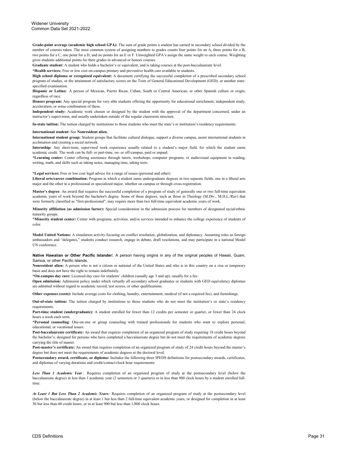**Grade-point average (academic high school GPA):** The sum of grade points a student has earned in secondary school divided by the number of courses taken. The most common system of assigning numbers to grades counts four points for an A, three points for a B, two points for a C, one point for a D, and no points for an E or F. Unweighted GPA's assign the same weight to each course. Weighting gives students additional points for their grades in advanced or honors courses.

**Graduate student:** A student who holds a bachelor's or equivalent, and is taking courses at the post-baccalaureate level.

**\*Health services:** Free or low cost on-campus primary and preventive health care available to students.

**High school diploma or recognized equivalent:** A document certifying the successful completion of a prescribed secondary school program of studies, or the attainment of satisfactory scores on the Tests of General Educational Development (GED), or another statespecified examination.

**Hispanic or Latino:** A person of Mexican, Puerto Rican, Cuban, South or Central American, or other Spanish culture or origin, regardless of race.

**Honors program:** Any special program for very able students offering the opportunity for educational enrichment, independent study, acceleration, or some combination of these.

**Independent study:** Academic work chosen or designed by the student with the approval of the department concerned, under an instructor's supervision, and usually undertaken outside of the regular classroom structure.

**In-state tuition:** The tuition charged by institutions to those students who meet the state's or institution's residency requirements.

#### **International student:** See **Nonresident alien.**

**International student group:** Student groups that facilitate cultural dialogue, support a diverse campus, assist international students in acclimation and creating a social network.

**Internship:** Any short-term, supervised work experience usually related to a student's major field, for which the student earns academic credit. The work can be full- or part-time, on- or off-campus, paid or unpaid.

**\*Learning center:** Center offering assistance through tutors, workshops, computer programs, or audiovisual equipment in reading, writing, math, and skills such as taking notes, managing time, taking tests.

#### **\*Legal services:** Free or low cost legal advice for a range of issues (personal and other).

**Liberal arts/career combination:** Program in which a student earns undergraduate degrees in two separate fields, one in a liberal arts major and the other in a professional or specialized major, whether on campus or through cross-registration.

**Master's degree**: An award that requires the successful completion of a program of study of generally one or two full-time equivalent academic years of work beyond the bachelor's degree. Some of these degrees, such as those in Theology (M.Div., M.H.L./Rav) that were formerly classified as "first-professional", may require more than two full-time equivalent academic years of work.

**Minority affiliation (as admission factor):** Special consideration in the admission process for members of designated racial/ethnic minority groups.

**\*Minority student center:** Center with programs, activities, and/or services intended to enhance the college experience of students of color.

**Model United Nations:** A simulation activity focusing on conflict resolution, globalization, and diplomacy. Assuming roles as foreign ambassadors and "delegates," students conduct research, engage in debate, draft resolutions, and may participate in a national Model UN conference.

**Native Hawaiian or Other Pacific Islander:** A person having origins in any of the original peoples of Hawaii, Guam, Samoa, or other Pacific Islands.

**Nonresident alien:** A person who is not a citizen or national of the United States and who is in this country on a visa or temporary basis and does not have the right to remain indefinitely.

**\*On-campus day care:** Licensed day care for students' children (usually age 3 and up); usually for a fee.

**Open admission:** Admission policy under which virtually all secondary school graduates or students with GED equivalency diplomas are admitted without regard to academic record, test scores, or other qualifications.

**Other expenses (costs):** Include average costs for clothing, laundry, entertainment, medical (if not a required fee), and furnishings.

**Out-of-state tuition:** The tuition charged by institutions to those students who do not meet the institution's or state's residency requirements.

**Part-time student (undergraduate):** A student enrolled for fewer than 12 credits per semester or quarter, or fewer than 24 clock hours a week each term.

**\*Personal counseling**: One-on-one or group counseling with trained professionals for students who want to explore personal, educational, or vocational issues.

**Post-baccalaureate certificate:** An award that requires completion of an organized program of study requiring 18 credit hours beyond the bachelor's; designed for persons who have completed a baccalaureate degree but do not meet the requirements of academic degrees carrying the title of master.

**Post-master's certificate:** An award that requires completion of an organized program of study of 24 credit hours beyond the master's degree but does not meet the requirements of academic degrees at the doctoral level.

**Postsecondary award, certificate, or diploma:** Includes the following three IPEDS definitions for postsecondary awards, certificates, and diplomas of varying durations and credit/contact/clock hour requirements:

*Less Than 1 Academic Year:* Requires completion of an organized program of study at the postsecondary level (below the baccalaureate degree) in less than 1 academic year (2 semesters or 3 quarters) or in less than 900 clock hours by a student enrolled fulltime.

*At Least 1 But Less Than 2 Academic Years:* Requires completion of an organized program of study at the postsecondary level (below the baccalaureate degree) in at least 1 but less than 2 full-time equivalent academic years, or designed for completion in at least 30 but less than 60 credit hours, or in at least 900 but less than 1,800 clock hours.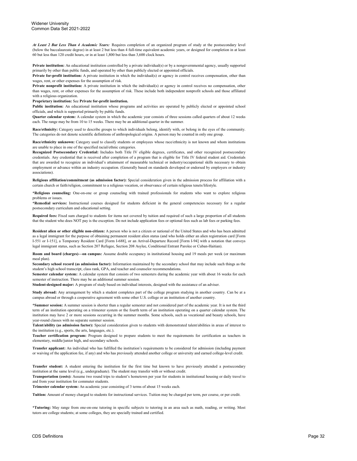*At Least 2 But Less Than 4 Academic Years:* Requires completion of an organized program of study at the postsecondary level (below the baccalaureate degree) in at least 2 but less than 4 full-time equivalent academic years, or designed for completion in at least 60 but less than 120 credit hours, or in at least 1,800 but less than 3,600 clock hours.

**Private institution:** An educational institution controlled by a private individual(s) or by a nongovernmental agency, usually supported primarily by other than public funds, and operated by other than publicly elected or appointed officials.

**Private for-profit institution:** A private institution in which the individual(s) or agency in control receives compensation, other than wages, rent, or other expenses for the assumption of risk.

**Private nonprofit institution:** A private institution in which the individual(s) or agency in control receives no compensation, other than wages, rent, or other expenses for the assumption of risk. These include both independent nonprofit schools and those affiliated with a religious organization.

#### **Proprietary institution:** See **Private for-profit institution.**

**Public institution:** An educational institution whose programs and activities are operated by publicly elected or appointed school officials, and which is supported primarily by public funds.

**Quarter calendar system:** A calendar system in which the academic year consists of three sessions called quarters of about 12 weeks each. The range may be from 10 to 15 weeks. There may be an additional quarter in the summer.

**Race/ethnicity:** Category used to describe groups to which individuals belong, identify with, or belong in the eyes of the community. The categories do not denote scientific definitions of anthropological origins. A person may be counted in only one group.

**Race/ethnicity unknown:** Category used to classify students or employees whose race/ethnicity is not known and whom institutions are unable to place in one of the specified racial/ethnic categories.

**Recognized Postsecondary Credential:** Includes both Title IV eligible degrees, certificates, and other recognized postsecondary credentials. Any credential that is received after completion of a program that is eligible for Title IV federal student aid. Credentials that are awarded to recognize an individual's attainment of measurable technical or industry/occupational skills necessary to obtain employment or advance within an industry occupation. (Generally based on standards developed or endorsed by employers or industry associations).

**Religious affiliation/commitment (as admission factor):** Special consideration given in the admission process for affiliation with a certain church or faith/religion, commitment to a religious vocation, or observance of certain religious tenets/lifestyle.

**\*Religious counseling:** One-on-one or group counseling with trained professionals for students who want to explore religious problems or issues

**\*Remedial services:** Instructional courses designed for students deficient in the general competencies necessary for a regular postsecondary curriculum and educational setting.

**Required fees:** Fixed sum charged to students for items not covered by tuition and required of such a large proportion of all students that the student who does NOT pay is the exception. Do not include application fees or optional fees such as lab fees or parking fees.

**Resident alien or other eligible non-citizen:** A person who is not a citizen or national of the United States and who has been admitted as a legal immigrant for the purpose of obtaining permanent resident alien status (and who holds either an alien registration card [Form I-551 or I-151], a Temporary Resident Card [Form I-688], or an Arrival-Departure Record [Form I-94] with a notation that conveys legal immigrant status, such as Section 207 Refugee, Section 208 Asylee, Conditional Entrant Parolee or Cuban-Haitian).

**Room and board (charges)—on campus:** Assume double occupancy in institutional housing and 19 meals per week (or maximum meal plan).

**Secondary school record (as admission factor):** Information maintained by the secondary school that may include such things as the student's high school transcript, class rank, GPA, and teacher and counselor recommendations.

**Semester calendar system:** A calendar system that consists of two semesters during the academic year with about 16 weeks for each semester of instruction. There may be an additional summer session.

**Student-designed major:** A program of study based on individual interests, designed with the assistance of an adviser.

**Study abroad:** Any arrangement by which a student completes part of the college program studying in another country. Can be at a campus abroad or through a cooperative agreement with some other U.S. college or an institution of another country.

**\*Summer session:** A summer session is shorter than a regular semester and not considered part of the academic year. It is not the third term of an institution operating on a trimester system or the fourth term of an institution operating on a quarter calendar system. The institution may have 2 or more sessions occurring in the summer months. Some schools, such as vocational and beauty schools, have year-round classes with no separate summer session.

**Talent/ability (as admission factor):** Special consideration given to students with demonstrated talent/abilities in areas of interest to the institution (e.g., sports, the arts, languages, etc.).

**Teacher certification program:** Program designed to prepare students to meet the requirements for certification as teachers in elementary, middle/junior high, and secondary schools.

**Transfer applicant:** An individual who has fulfilled the institution's requirements to be considered for admission (including payment or waiving of the application fee, if any) and who has previously attended another college or university and earned college-level credit.

**Transfer student:** A student entering the institution for the first time but known to have previously attended a postsecondary institution at the same level (e.g., undergraduate). The student may transfer with or without credit.

**Transportation (costs):** Assume two round trips to student's hometown per year for students in institutional housing or daily travel to and from your institution for commuter students.

**Trimester calendar system:** An academic year consisting of 3 terms of about 15 weeks each.

**Tuition:** Amount of money charged to students for instructional services. Tuition may be charged per term, per course, or per credit.

**\*Tutoring:** May range from one-on-one tutoring in specific subjects to tutoring in an area such as math, reading, or writing. Most tutors are college students; at some colleges, they are specially trained and certified.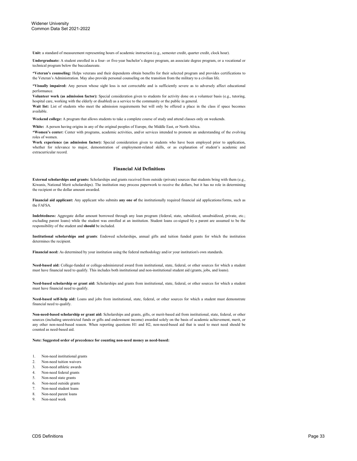**Unit:** a standard of measurement representing hours of academic instruction (e.g., semester credit, quarter credit, clock hour).

**Undergraduate:** A student enrolled in a four- or five-year bachelor's degree program, an associate degree program, or a vocational or technical program below the baccalaureate.

**\*Veteran's counseling:** Helps veterans and their dependents obtain benefits for their selected program and provides certifications to the Veteran's Administration. May also provide personal counseling on the transition from the military to a civilian life.

**\*Visually impaired:** Any person whose sight loss is not correctable and is sufficiently severe as to adversely affect educational performance.

**Volunteer work (as admission factor):** Special consideration given to students for activity done on a volunteer basis (e.g., tutoring, hospital care, working with the elderly or disabled) as a service to the community or the public in general.

Wait list: List of students who meet the admission requirements but will only be offered a place in the class if space becomes available.

**Weekend college:** A program that allows students to take a complete course of study and attend classes only on weekends.

**White:** A person having origins in any of the original peoples of Europe, the Middle East, or North Africa.

**\*Women's center:** Center with programs, academic activities, and/or services intended to promote an understanding of the evolving roles of women.

**Work experience (as admission factor):** Special consideration given to students who have been employed prior to application, whether for relevance to major, demonstration of employment-related skills, or as explanation of student's academic and extracurricular record.

#### **Financial Aid Definitions**

**External scholarships and grants:** Scholarships and grants received from outside (private) sources that students bring with them (e.g., Kiwanis, National Merit scholarships). The institution may process paperwork to receive the dollars, but it has no role in determining the recipient or the dollar amount awarded.

**Financial aid applicant:** Any applicant who submits **any one of** the institutionally required financial aid applications/forms, such as the FAFSA.

**Indebtedness:** Aggregate dollar amount borrowed through any loan program (federal, state, subsidized, unsubsidized, private, etc.; excluding parent loans) while the student was enrolled at an institution. Student loans co-signed by a parent are assumed to be the responsibility of the student and **should** be included.

**Institutional scholarships and grants**: Endowed scholarships, annual gifts and tuition funded grants for which the institution determines the recipient.

**Financial need:** As determined by your institution using the federal methodology and/or your institution's own standards.

**Need-based aid:** College-funded or college-administered award from institutional, state, federal, or other sources for which a student must have financial need to qualify. This includes both institutional and non-institutional student aid (grants, jobs, and loans).

**Need-based scholarship or grant aid:** Scholarships and grants from institutional, state, federal, or other sources for which a student must have financial need to qualify.

**Need-based self-help aid:** Loans and jobs from institutional, state, federal, or other sources for which a student must demonstrate financial need to qualify.

**Non-need-based scholarship or grant aid:** Scholarships and grants, gifts, or merit-based aid from institutional, state, federal, or other sources (including unrestricted funds or gifts and endowment income) awarded solely on the basis of academic achievement, merit, or any other non-need-based reason. When reporting questions H1 and H2, non-need-based aid that is used to meet need should be counted as need-based aid.

**Note: Suggested order of precedence for counting non-need money as need-based:**

- 1. Non-need institutional grants
- 2. Non-need tuition waivers
- 3. Non-need athletic awards
- 4. Non-need federal grants
- 5. Non-need state grants
- 6. Non-need outside grants
- Non-need student loans
- 8. Non-need parent loans
- Non-need work